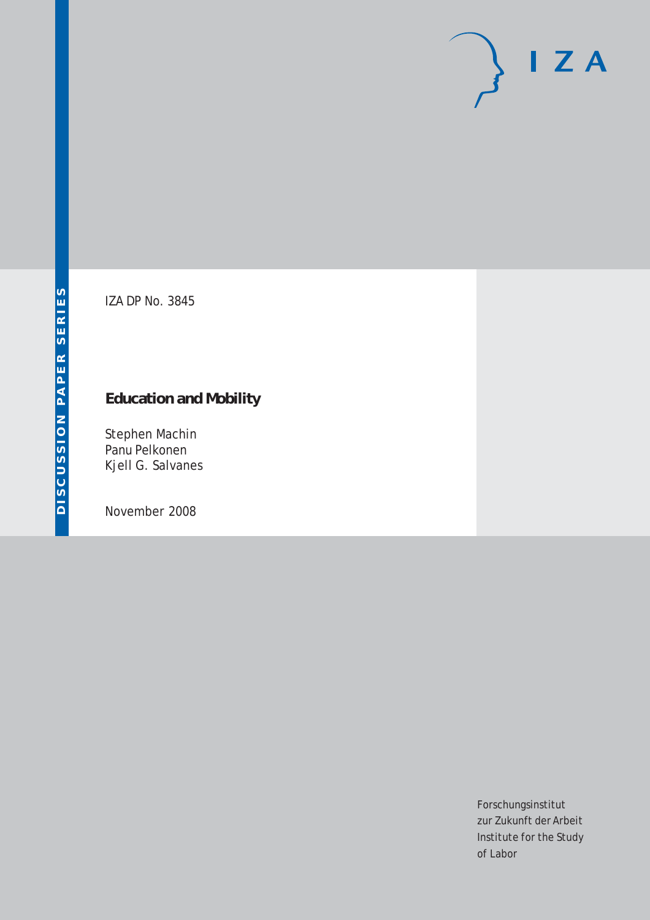# $\mathsf{I}$  Z A

IZA DP No. 3845

# **Education and Mobility**

Stephen Machin Panu Pelkonen Kjell G. Salvanes

November 2008

Forschungsinstitut zur Zukunft der Arbeit Institute for the Study of Labor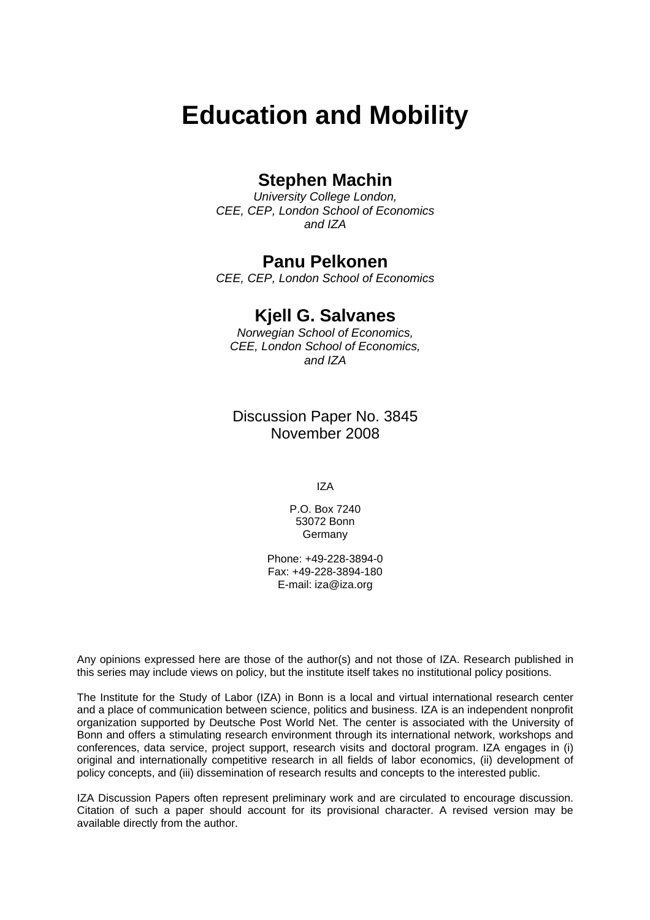# **Education and Mobility**

# **Stephen Machin**

*University College London, CEE, CEP, London School of Economics and IZA* 

# **Panu Pelkonen**

*CEE, CEP, London School of Economics* 

# **Kjell G. Salvanes**

*Norwegian School of Economics, CEE, London School of Economics, and IZA* 

Discussion Paper No. 3845 November 2008

IZA

P.O. Box 7240 53072 Bonn Germany

Phone: +49-228-3894-0 Fax: +49-228-3894-180 E-mail: [iza@iza.org](mailto:iza@iza.org)

Any opinions expressed here are those of the author(s) and not those of IZA. Research published in this series may include views on policy, but the institute itself takes no institutional policy positions.

The Institute for the Study of Labor (IZA) in Bonn is a local and virtual international research center and a place of communication between science, politics and business. IZA is an independent nonprofit organization supported by Deutsche Post World Net. The center is associated with the University of Bonn and offers a stimulating research environment through its international network, workshops and conferences, data service, project support, research visits and doctoral program. IZA engages in (i) original and internationally competitive research in all fields of labor economics, (ii) development of policy concepts, and (iii) dissemination of research results and concepts to the interested public.

IZA Discussion Papers often represent preliminary work and are circulated to encourage discussion. Citation of such a paper should account for its provisional character. A revised version may be available directly from the author.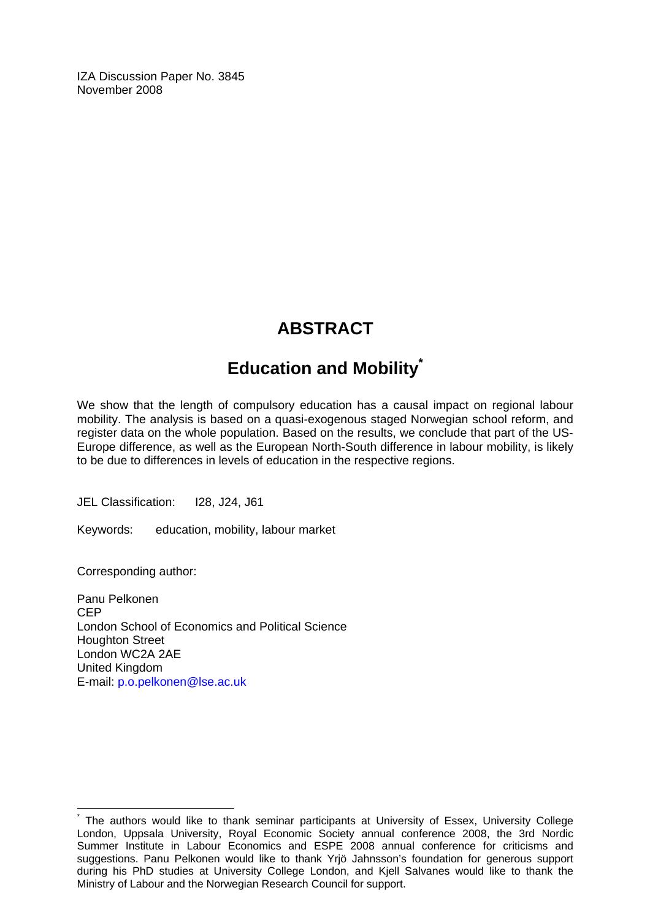IZA Discussion Paper No. 3845 November 2008

# **ABSTRACT**

# **Education and Mobilit[y\\*](#page-2-0)**

We show that the length of compulsory education has a causal impact on regional labour mobility. The analysis is based on a quasi-exogenous staged Norwegian school reform, and register data on the whole population. Based on the results, we conclude that part of the US-Europe difference, as well as the European North-South difference in labour mobility, is likely to be due to differences in levels of education in the respective regions.

JEL Classification: I28, J24, J61

Keywords: education, mobility, labour market

Corresponding author:

 $\overline{a}$ 

Panu Pelkonen CEP London School of Economics and Political Science Houghton Street London WC2A 2AE United Kingdom E-mail: [p.o.pelkonen@lse.ac.uk](mailto:p.o.pelkonen@lse.ac.uk)

<span id="page-2-0"></span><sup>\*</sup> The authors would like to thank seminar participants at University of Essex, University College London, Uppsala University, Royal Economic Society annual conference 2008, the 3rd Nordic Summer Institute in Labour Economics and ESPE 2008 annual conference for criticisms and suggestions. Panu Pelkonen would like to thank Yrjö Jahnsson's foundation for generous support during his PhD studies at University College London, and Kjell Salvanes would like to thank the Ministry of Labour and the Norwegian Research Council for support.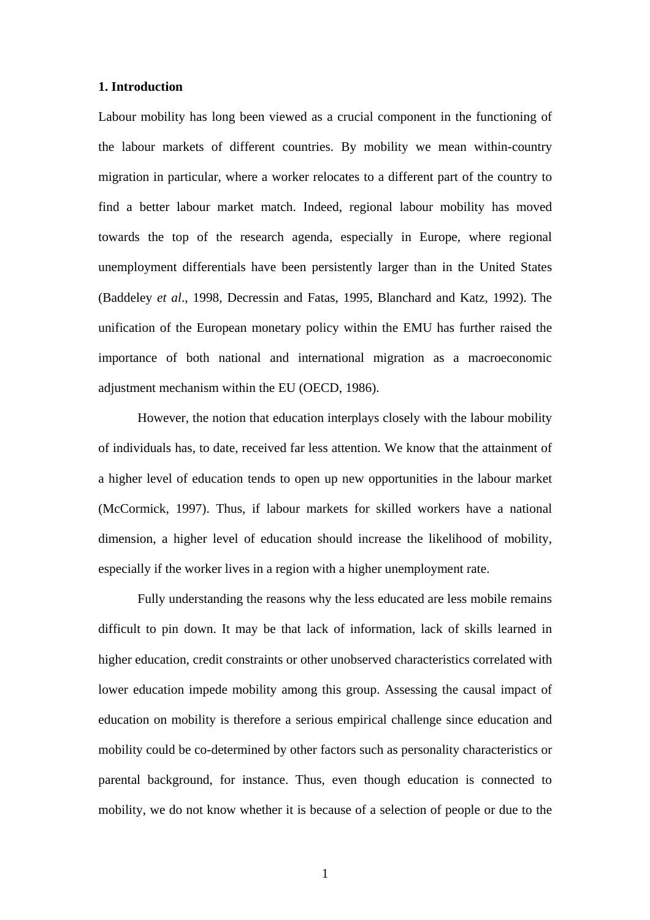#### **1. Introduction**

Labour mobility has long been viewed as a crucial component in the functioning of the labour markets of different countries. By mobility we mean within-country migration in particular, where a worker relocates to a different part of the country to find a better labour market match. Indeed, regional labour mobility has moved towards the top of the research agenda, especially in Europe, where regional unemployment differentials have been persistently larger than in the United States (Baddeley *et al*., 1998, Decressin and Fatas, 1995, Blanchard and Katz, 1992). The unification of the European monetary policy within the EMU has further raised the importance of both national and international migration as a macroeconomic adjustment mechanism within the EU (OECD, 1986).

However, the notion that education interplays closely with the labour mobility of individuals has, to date, received far less attention. We know that the attainment of a higher level of education tends to open up new opportunities in the labour market (McCormick, 1997). Thus, if labour markets for skilled workers have a national dimension, a higher level of education should increase the likelihood of mobility, especially if the worker lives in a region with a higher unemployment rate.

Fully understanding the reasons why the less educated are less mobile remains difficult to pin down. It may be that lack of information, lack of skills learned in higher education, credit constraints or other unobserved characteristics correlated with lower education impede mobility among this group. Assessing the causal impact of education on mobility is therefore a serious empirical challenge since education and mobility could be co-determined by other factors such as personality characteristics or parental background, for instance. Thus, even though education is connected to mobility, we do not know whether it is because of a selection of people or due to the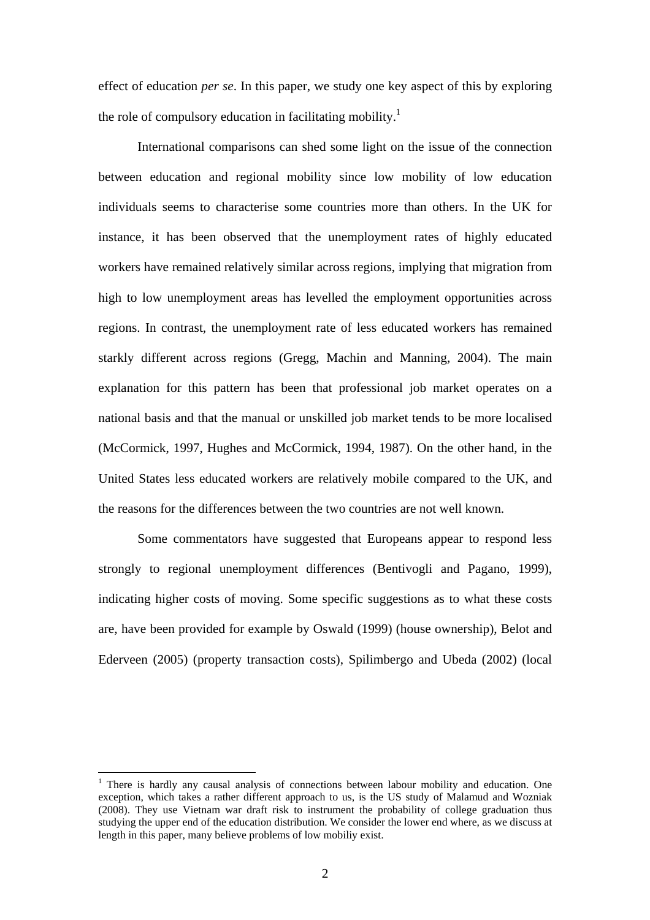effect of education *per se*. In this paper, we study one key aspect of this by exploring the role of compulsory education in facilitating mobility.<sup>[1](#page-4-0)</sup>

International comparisons can shed some light on the issue of the connection between education and regional mobility since low mobility of low education individuals seems to characterise some countries more than others. In the UK for instance, it has been observed that the unemployment rates of highly educated workers have remained relatively similar across regions, implying that migration from high to low unemployment areas has levelled the employment opportunities across regions. In contrast, the unemployment rate of less educated workers has remained starkly different across regions (Gregg, Machin and Manning, 2004). The main explanation for this pattern has been that professional job market operates on a national basis and that the manual or unskilled job market tends to be more localised (McCormick, 1997, Hughes and McCormick, 1994, 1987). On the other hand, in the United States less educated workers are relatively mobile compared to the UK, and the reasons for the differences between the two countries are not well known.

Some commentators have suggested that Europeans appear to respond less strongly to regional unemployment differences (Bentivogli and Pagano, 1999), indicating higher costs of moving. Some specific suggestions as to what these costs are, have been provided for example by Oswald (1999) (house ownership), Belot and Ederveen (2005) (property transaction costs), Spilimbergo and Ubeda (2002) (local

<span id="page-4-0"></span><sup>&</sup>lt;sup>1</sup> There is hardly any causal analysis of connections between labour mobility and education. One exception, which takes a rather different approach to us, is the US study of Malamud and Wozniak (2008). They use Vietnam war draft risk to instrument the probability of college graduation thus studying the upper end of the education distribution. We consider the lower end where, as we discuss at length in this paper, many believe problems of low mobiliy exist.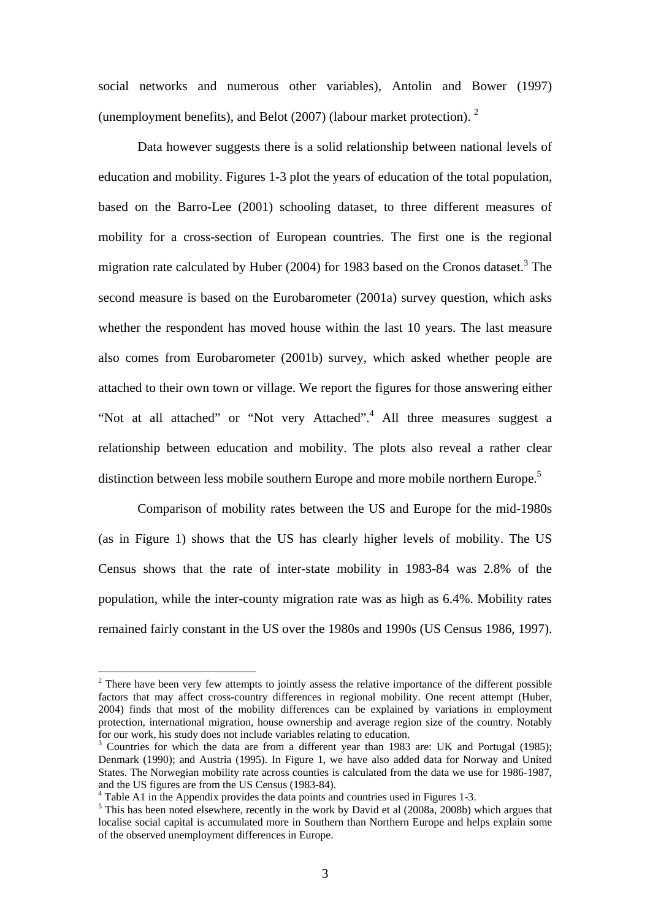social networks and numerous other variables), Antolin and Bower (1997) (unemployment benefits), and Belot (2007) (labour market protection). [2](#page-5-0)

Data however suggests there is a solid relationship between national levels of education and mobility. Figures 1-3 plot the years of education of the total population, based on the Barro-Lee (2001) schooling dataset, to three different measures of mobility for a cross-section of European countries. The first one is the regional migration rate calculated by Huber (2004) for 1983 based on the Cronos dataset.<sup>3</sup> The second measure is based on the Eurobarometer (2001a) survey question, which asks whether the respondent has moved house within the last 10 years. The last measure also comes from Eurobarometer (2001b) survey, which asked whether people are attached to their own town or village. We report the figures for those answering either "Not at all attached" or "Not very Attached".<sup>4</sup> All three measures suggest a relationship between education and mobility. The plots also reveal a rather clear distinction between less mobile southern Europe and more mobile northern Europe.<sup>[5](#page-5-3)</sup>

Comparison of mobility rates between the US and Europe for the mid-1980s (as in Figure 1) shows that the US has clearly higher levels of mobility. The US Census shows that the rate of inter-state mobility in 1983-84 was 2.8% of the population, while the inter-county migration rate was as high as 6.4%. Mobility rates remained fairly constant in the US over the 1980s and 1990s (US Census 1986, 1997).

<span id="page-5-0"></span> $2^2$  There have been very few attempts to jointly assess the relative importance of the different possible factors that may affect cross-country differences in regional mobility. One recent attempt (Huber, 2004) finds that most of the mobility differences can be explained by variations in employment protection, international migration, house ownership and average region size of the country. Notably for our work, his study does not include variables relating to education.

<span id="page-5-1"></span><sup>&</sup>lt;sup>3</sup> Countries for which the data are from a different year than 1983 are: UK and Portugal (1985); Denmark (1990); and Austria (1995). In Figure 1, we have also added data for Norway and United States. The Norwegian mobility rate across counties is calculated from the data we use for 1986-1987, and the US figures are from the US Census (1983-84). 4

<span id="page-5-2"></span><sup>&</sup>lt;sup>4</sup> Table A1 in the Appendix provides the data points and countries used in Figures 1-3.

<span id="page-5-3"></span> $\frac{1}{2}$ . This has been noted elsewhere, recently in the work by David et al (2008a, 2008b) which argues that localise social capital is accumulated more in Southern than Northern Europe and helps explain some of the observed unemployment differences in Europe.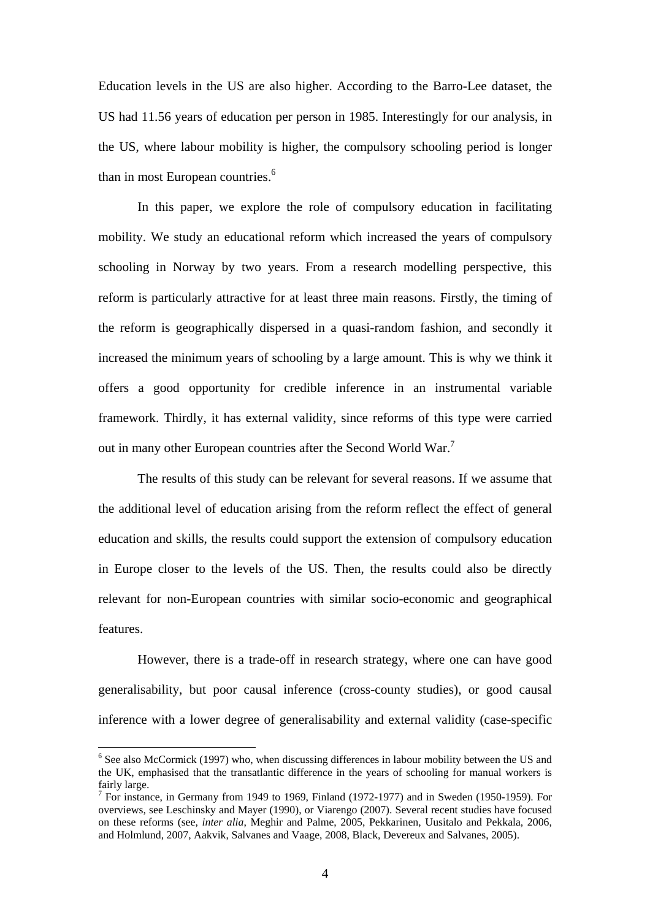Education levels in the US are also higher. According to the Barro-Lee dataset, the US had 11.56 years of education per person in 1985. Interestingly for our analysis, in the US, where labour mobility is higher, the compulsory schooling period is longer than in most European countries.<sup>6</sup>

In this paper, we explore the role of compulsory education in facilitating mobility. We study an educational reform which increased the years of compulsory schooling in Norway by two years. From a research modelling perspective, this reform is particularly attractive for at least three main reasons. Firstly, the timing of the reform is geographically dispersed in a quasi-random fashion, and secondly it increased the minimum years of schooling by a large amount. This is why we think it offers a good opportunity for credible inference in an instrumental variable framework. Thirdly, it has external validity, since reforms of this type were carried out in many other European countries after the Second World War.<sup>[7](#page-6-1)</sup>

The results of this study can be relevant for several reasons. If we assume that the additional level of education arising from the reform reflect the effect of general education and skills, the results could support the extension of compulsory education in Europe closer to the levels of the US. Then, the results could also be directly relevant for non-European countries with similar socio-economic and geographical features.

However, there is a trade-off in research strategy, where one can have good generalisability, but poor causal inference (cross-county studies), or good causal inference with a lower degree of generalisability and external validity (case-specific

<span id="page-6-0"></span><sup>&</sup>lt;sup>6</sup> See also McCormick (1997) who, when discussing differences in labour mobility between the US and the UK, emphasised that the transatlantic difference in the years of schooling for manual workers is fairly large.

<span id="page-6-1"></span> $\frac{7}{1}$  For instance, in Germany from 1949 to 1969. Finland (1972-1977) and in Sweden (1950-1959). For overviews, see Leschinsky and Mayer (1990), or Viarengo (2007). Several recent studies have focused on these reforms (see, *inter alia*, Meghir and Palme, 2005, Pekkarinen, Uusitalo and Pekkala, 2006, and Holmlund, 2007, Aakvik, Salvanes and Vaage, 2008, Black, Devereux and Salvanes, 2005).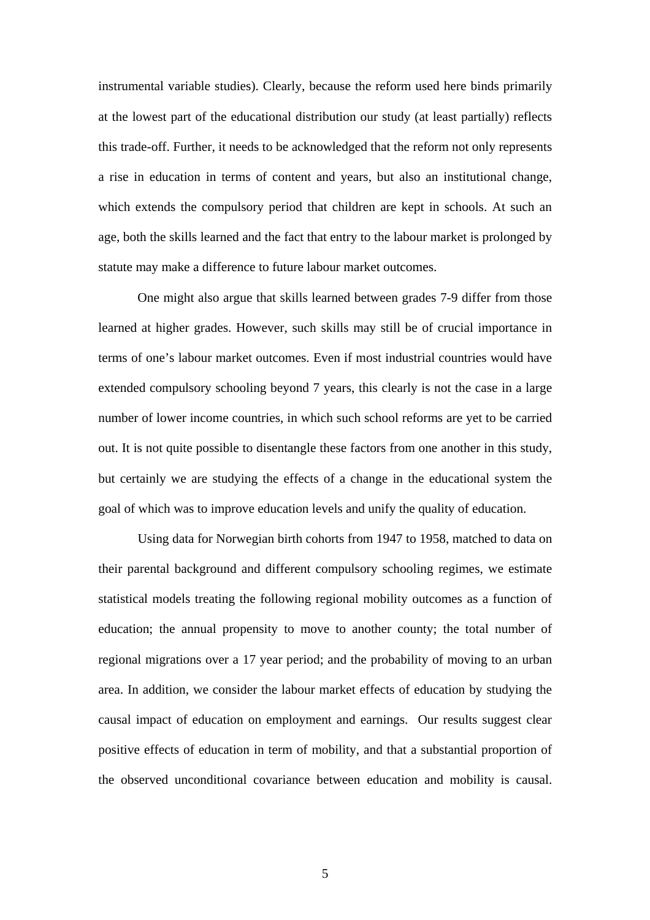instrumental variable studies). Clearly, because the reform used here binds primarily at the lowest part of the educational distribution our study (at least partially) reflects this trade-off. Further, it needs to be acknowledged that the reform not only represents a rise in education in terms of content and years, but also an institutional change, which extends the compulsory period that children are kept in schools. At such an age, both the skills learned and the fact that entry to the labour market is prolonged by statute may make a difference to future labour market outcomes.

One might also argue that skills learned between grades 7-9 differ from those learned at higher grades. However, such skills may still be of crucial importance in terms of one's labour market outcomes. Even if most industrial countries would have extended compulsory schooling beyond 7 years, this clearly is not the case in a large number of lower income countries, in which such school reforms are yet to be carried out. It is not quite possible to disentangle these factors from one another in this study, but certainly we are studying the effects of a change in the educational system the goal of which was to improve education levels and unify the quality of education.

 Using data for Norwegian birth cohorts from 1947 to 1958, matched to data on their parental background and different compulsory schooling regimes, we estimate statistical models treating the following regional mobility outcomes as a function of education; the annual propensity to move to another county; the total number of regional migrations over a 17 year period; and the probability of moving to an urban area. In addition, we consider the labour market effects of education by studying the causal impact of education on employment and earnings. Our results suggest clear positive effects of education in term of mobility, and that a substantial proportion of the observed unconditional covariance between education and mobility is causal.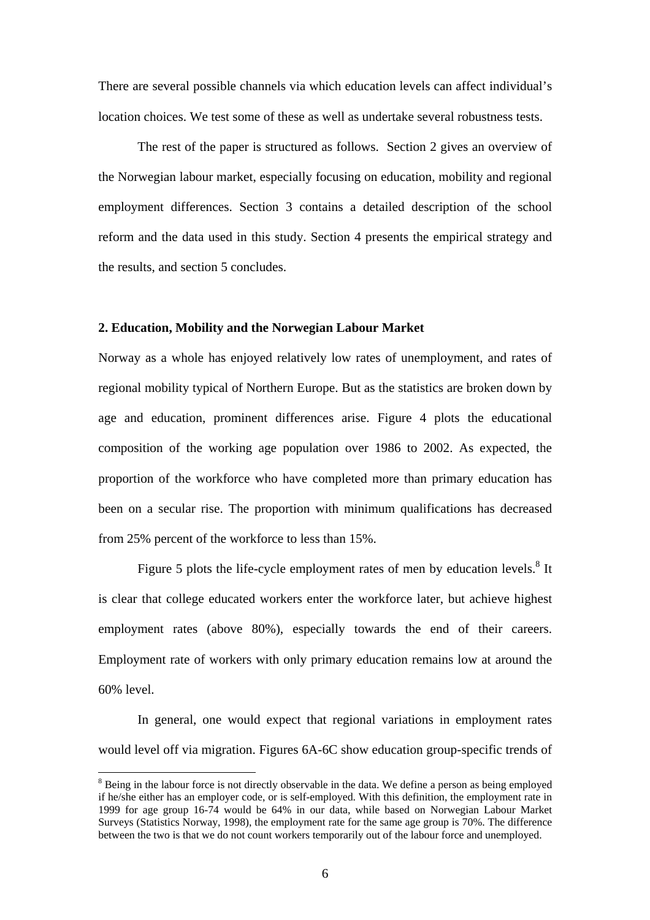There are several possible channels via which education levels can affect individual's location choices. We test some of these as well as undertake several robustness tests.

The rest of the paper is structured as follows.Section 2 gives an overview of the Norwegian labour market, especially focusing on education, mobility and regional employment differences. Section 3 contains a detailed description of the school reform and the data used in this study. Section 4 presents the empirical strategy and the results, and section 5 concludes.

#### **2. Education, Mobility and the Norwegian Labour Market**

Norway as a whole has enjoyed relatively low rates of unemployment, and rates of regional mobility typical of Northern Europe. But as the statistics are broken down by age and education, prominent differences arise. Figure 4 plots the educational composition of the working age population over 1986 to 2002. As expected, the proportion of the workforce who have completed more than primary education has been on a secular rise. The proportion with minimum qualifications has decreased from 25% percent of the workforce to less than 15%.

Figure 5 plots the life-cycle employment rates of men by education levels.<sup>[8](#page-8-0)</sup> It is clear that college educated workers enter the workforce later, but achieve highest employment rates (above 80%), especially towards the end of their careers. Employment rate of workers with only primary education remains low at around the 60% level.

In general, one would expect that regional variations in employment rates would level off via migration. Figures 6A-6C show education group-specific trends of

<span id="page-8-0"></span><sup>&</sup>lt;sup>8</sup> Being in the labour force is not directly observable in the data. We define a person as being employed if he/she either has an employer code, or is self-employed. With this definition, the employment rate in 1999 for age group 16-74 would be 64% in our data, while based on Norwegian Labour Market Surveys (Statistics Norway, 1998), the employment rate for the same age group is 70%. The difference between the two is that we do not count workers temporarily out of the labour force and unemployed.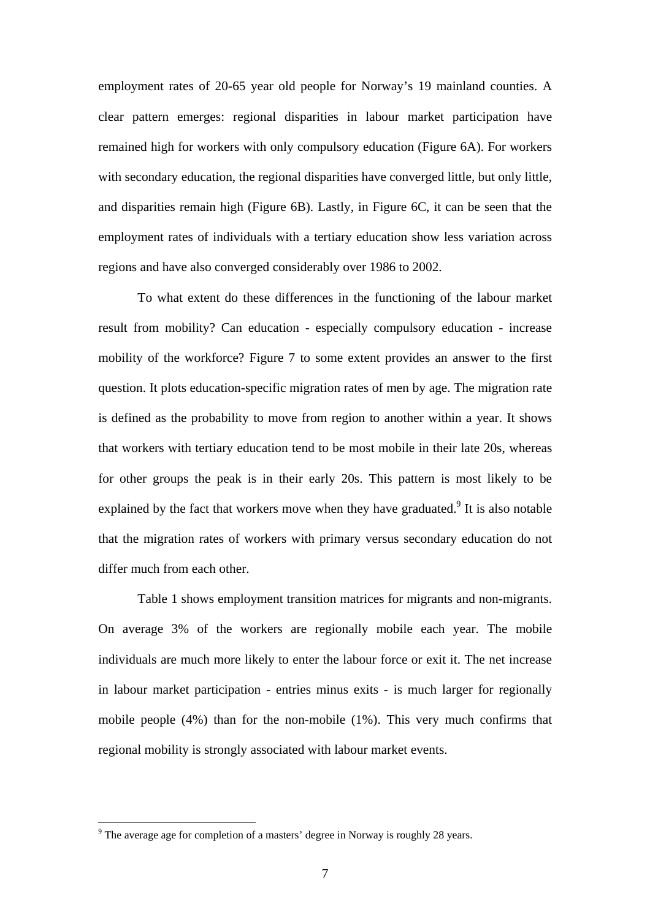employment rates of 20-65 year old people for Norway's 19 mainland counties. A clear pattern emerges: regional disparities in labour market participation have remained high for workers with only compulsory education (Figure 6A). For workers with secondary education, the regional disparities have converged little, but only little, and disparities remain high (Figure 6B). Lastly, in Figure 6C, it can be seen that the employment rates of individuals with a tertiary education show less variation across regions and have also converged considerably over 1986 to 2002.

To what extent do these differences in the functioning of the labour market result from mobility? Can education - especially compulsory education - increase mobility of the workforce? Figure 7 to some extent provides an answer to the first question. It plots education-specific migration rates of men by age. The migration rate is defined as the probability to move from region to another within a year. It shows that workers with tertiary education tend to be most mobile in their late 20s, whereas for other groups the peak is in their early 20s. This pattern is most likely to be explained by the fact that workers move when they have graduated.<sup>[9](#page-9-0)</sup> It is also notable that the migration rates of workers with primary versus secondary education do not differ much from each other.

Table 1 shows employment transition matrices for migrants and non-migrants. On average 3% of the workers are regionally mobile each year. The mobile individuals are much more likely to enter the labour force or exit it. The net increase in labour market participation - entries minus exits - is much larger for regionally mobile people (4%) than for the non-mobile (1%). This very much confirms that regional mobility is strongly associated with labour market events.

<span id="page-9-0"></span> $9^9$  The average age for completion of a masters' degree in Norway is roughly 28 years.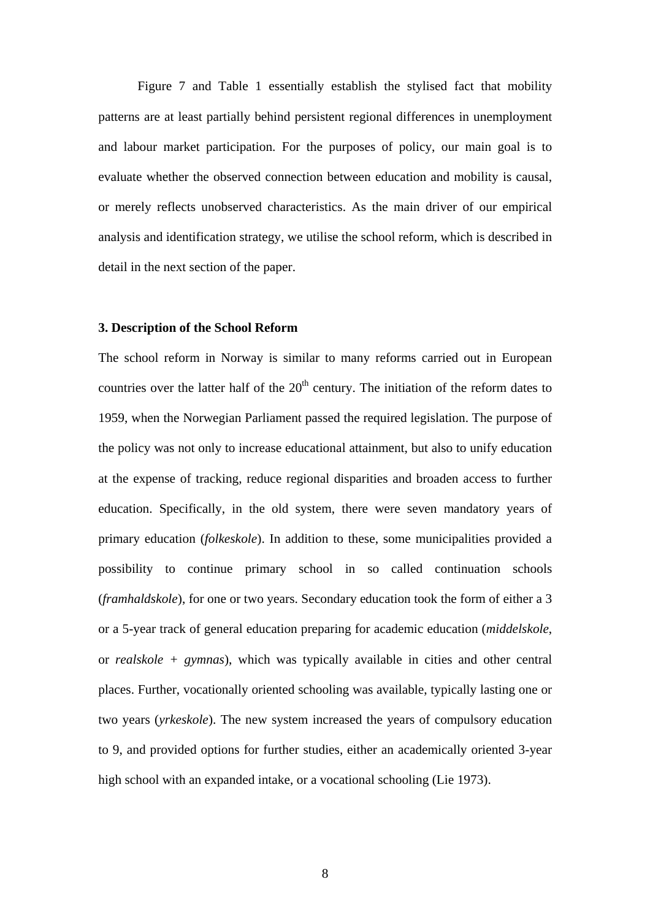Figure 7 and Table 1 essentially establish the stylised fact that mobility patterns are at least partially behind persistent regional differences in unemployment and labour market participation. For the purposes of policy, our main goal is to evaluate whether the observed connection between education and mobility is causal, or merely reflects unobserved characteristics. As the main driver of our empirical analysis and identification strategy, we utilise the school reform, which is described in detail in the next section of the paper.

#### **3. Description of the School Reform**

The school reform in Norway is similar to many reforms carried out in European countries over the latter half of the  $20<sup>th</sup>$  century. The initiation of the reform dates to 1959, when the Norwegian Parliament passed the required legislation. The purpose of the policy was not only to increase educational attainment, but also to unify education at the expense of tracking, reduce regional disparities and broaden access to further education. Specifically, in the old system, there were seven mandatory years of primary education (*folkeskole*). In addition to these, some municipalities provided a possibility to continue primary school in so called continuation schools (*framhaldskole*), for one or two years. Secondary education took the form of either a 3 or a 5-year track of general education preparing for academic education (*middelskole*, or *realskole + gymnas*), which was typically available in cities and other central places. Further, vocationally oriented schooling was available, typically lasting one or two years (*yrkeskole*). The new system increased the years of compulsory education to 9, and provided options for further studies, either an academically oriented 3-year high school with an expanded intake, or a vocational schooling (Lie 1973).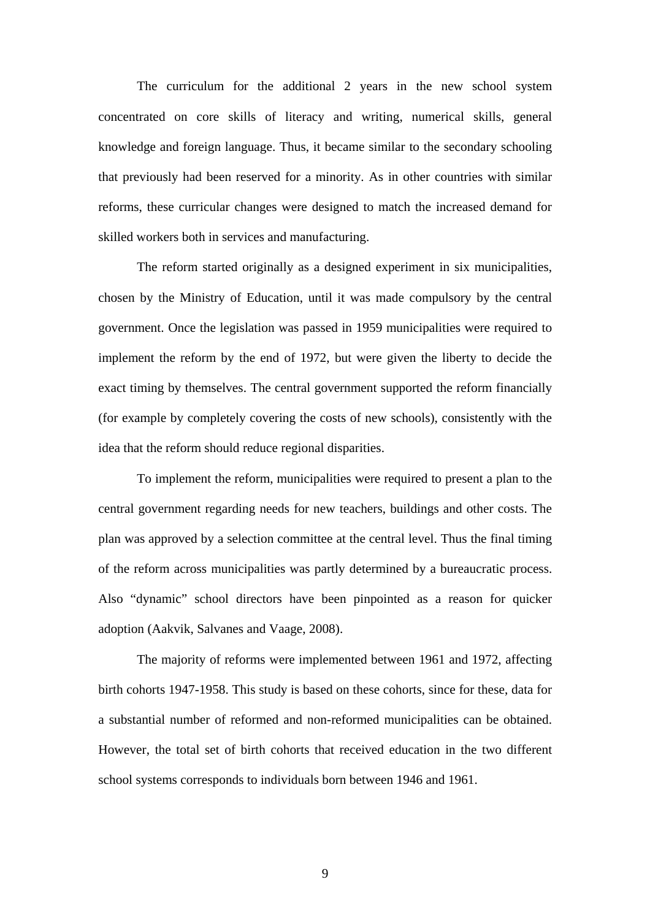The curriculum for the additional 2 years in the new school system concentrated on core skills of literacy and writing, numerical skills, general knowledge and foreign language. Thus, it became similar to the secondary schooling that previously had been reserved for a minority. As in other countries with similar reforms, these curricular changes were designed to match the increased demand for skilled workers both in services and manufacturing.

The reform started originally as a designed experiment in six municipalities, chosen by the Ministry of Education, until it was made compulsory by the central government. Once the legislation was passed in 1959 municipalities were required to implement the reform by the end of 1972, but were given the liberty to decide the exact timing by themselves. The central government supported the reform financially (for example by completely covering the costs of new schools), consistently with the idea that the reform should reduce regional disparities.

To implement the reform, municipalities were required to present a plan to the central government regarding needs for new teachers, buildings and other costs. The plan was approved by a selection committee at the central level. Thus the final timing of the reform across municipalities was partly determined by a bureaucratic process. Also "dynamic" school directors have been pinpointed as a reason for quicker adoption (Aakvik, Salvanes and Vaage, 2008).

The majority of reforms were implemented between 1961 and 1972, affecting birth cohorts 1947-1958. This study is based on these cohorts, since for these, data for a substantial number of reformed and non-reformed municipalities can be obtained. However, the total set of birth cohorts that received education in the two different school systems corresponds to individuals born between 1946 and 1961.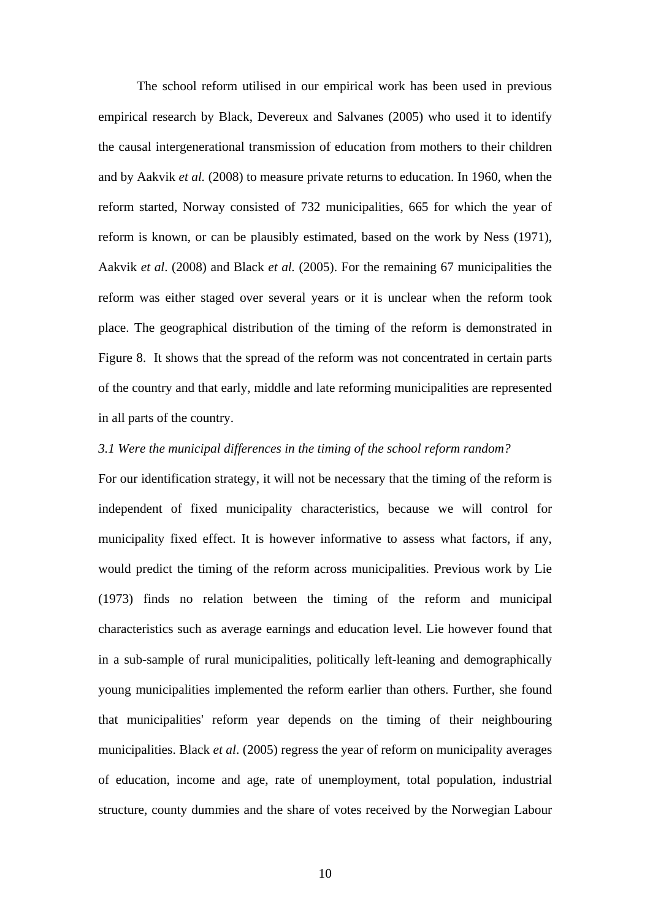The school reform utilised in our empirical work has been used in previous empirical research by Black, Devereux and Salvanes (2005) who used it to identify the causal intergenerational transmission of education from mothers to their children and by Aakvik *et al.* (2008) to measure private returns to education. In 1960, when the reform started, Norway consisted of 732 municipalities, 665 for which the year of reform is known, or can be plausibly estimated, based on the work by Ness (1971), Aakvik *et al*. (2008) and Black *et al.* (2005). For the remaining 67 municipalities the reform was either staged over several years or it is unclear when the reform took place. The geographical distribution of the timing of the reform is demonstrated in Figure 8. It shows that the spread of the reform was not concentrated in certain parts of the country and that early, middle and late reforming municipalities are represented in all parts of the country.

#### *3.1 Were the municipal differences in the timing of the school reform random?*

For our identification strategy, it will not be necessary that the timing of the reform is independent of fixed municipality characteristics, because we will control for municipality fixed effect. It is however informative to assess what factors, if any, would predict the timing of the reform across municipalities. Previous work by Lie (1973) finds no relation between the timing of the reform and municipal characteristics such as average earnings and education level. Lie however found that in a sub-sample of rural municipalities, politically left-leaning and demographically young municipalities implemented the reform earlier than others. Further, she found that municipalities' reform year depends on the timing of their neighbouring municipalities. Black *et al*. (2005) regress the year of reform on municipality averages of education, income and age, rate of unemployment, total population, industrial structure, county dummies and the share of votes received by the Norwegian Labour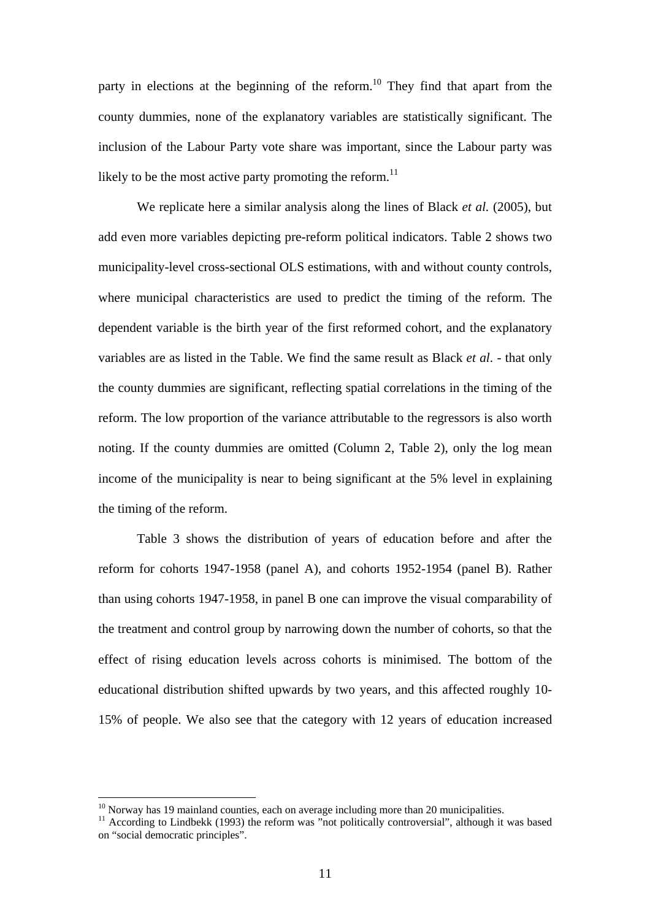party in elections at the beginning of the reform.<sup>10</sup> They find that apart from the county dummies, none of the explanatory variables are statistically significant. The inclusion of the Labour Party vote share was important, since the Labour party was likely to be the most active party promoting the reform.<sup>11</sup>

We replicate here a similar analysis along the lines of Black *et al.* (2005), but add even more variables depicting pre-reform political indicators. Table 2 shows two municipality-level cross-sectional OLS estimations, with and without county controls, where municipal characteristics are used to predict the timing of the reform. The dependent variable is the birth year of the first reformed cohort, and the explanatory variables are as listed in the Table. We find the same result as Black *et al*. - that only the county dummies are significant, reflecting spatial correlations in the timing of the reform. The low proportion of the variance attributable to the regressors is also worth noting. If the county dummies are omitted (Column 2, Table 2), only the log mean income of the municipality is near to being significant at the 5% level in explaining the timing of the reform.

Table 3 shows the distribution of years of education before and after the reform for cohorts 1947-1958 (panel A), and cohorts 1952-1954 (panel B). Rather than using cohorts 1947-1958, in panel B one can improve the visual comparability of the treatment and control group by narrowing down the number of cohorts, so that the effect of rising education levels across cohorts is minimised. The bottom of the educational distribution shifted upwards by two years, and this affected roughly 10- 15% of people. We also see that the category with 12 years of education increased

<span id="page-13-1"></span><span id="page-13-0"></span>

<sup>&</sup>lt;sup>10</sup> Norway has 19 mainland counties, each on average including more than 20 municipalities.<br><sup>11</sup> According to Lindbekk (1993) the reform was "not politically controversial", although it was based on "social democratic principles".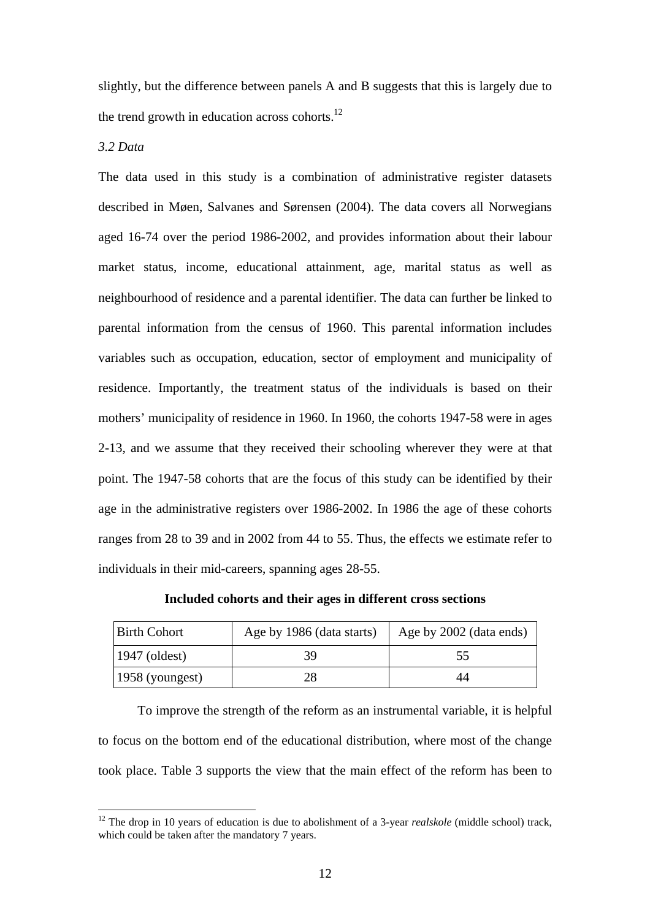slightly, but the difference between panels A and B suggests that this is largely due to the trend growth in education across cohorts. $^{12}$ 

#### *3.2 Data*

 $\overline{a}$ 

The data used in this study is a combination of administrative register datasets described in Møen, Salvanes and Sørensen (2004). The data covers all Norwegians aged 16-74 over the period 1986-2002, and provides information about their labour market status, income, educational attainment, age, marital status as well as neighbourhood of residence and a parental identifier. The data can further be linked to parental information from the census of 1960. This parental information includes variables such as occupation, education, sector of employment and municipality of residence. Importantly, the treatment status of the individuals is based on their mothers' municipality of residence in 1960. In 1960, the cohorts 1947-58 were in ages 2-13, and we assume that they received their schooling wherever they were at that point. The 1947-58 cohorts that are the focus of this study can be identified by their age in the administrative registers over 1986-2002. In 1986 the age of these cohorts ranges from 28 to 39 and in 2002 from 44 to 55. Thus, the effects we estimate refer to individuals in their mid-careers, spanning ages 28-55.

**Included cohorts and their ages in different cross sections** 

| Birth Cohort       | Age by 1986 (data starts) | Age by 2002 (data ends) |
|--------------------|---------------------------|-------------------------|
| $1947$ (oldest)    | 39                        | 55                      |
| $ 1958$ (youngest) | 28                        | 44                      |

To improve the strength of the reform as an instrumental variable, it is helpful to focus on the bottom end of the educational distribution, where most of the change took place. Table 3 supports the view that the main effect of the reform has been to

<span id="page-14-0"></span><sup>&</sup>lt;sup>12</sup> The drop in 10 years of education is due to abolishment of a 3-year *realskole* (middle school) track, which could be taken after the mandatory 7 years.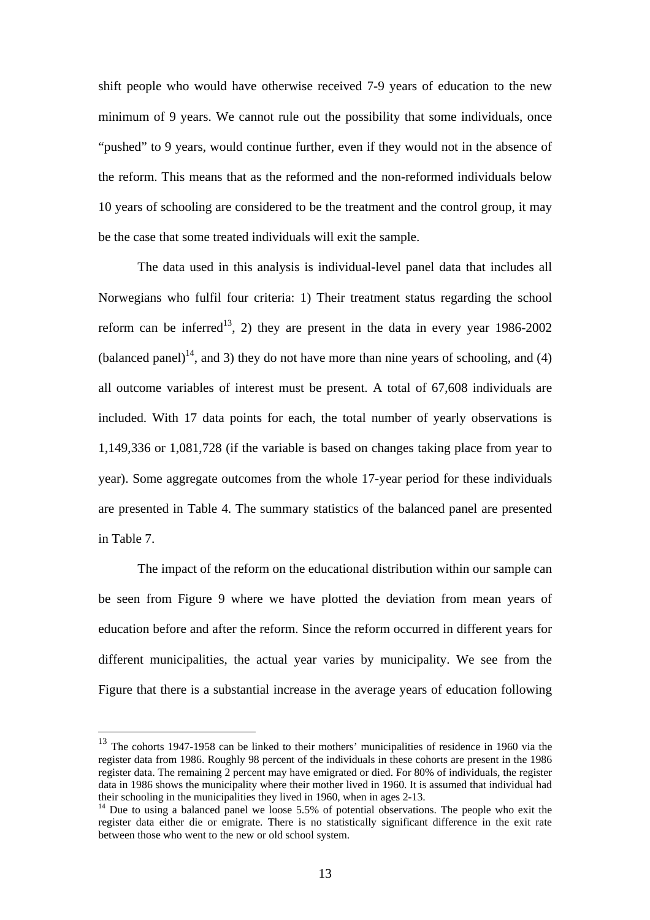shift people who would have otherwise received 7-9 years of education to the new minimum of 9 years. We cannot rule out the possibility that some individuals, once "pushed" to 9 years, would continue further, even if they would not in the absence of the reform. This means that as the reformed and the non-reformed individuals below 10 years of schooling are considered to be the treatment and the control group, it may be the case that some treated individuals will exit the sample.

The data used in this analysis is individual-level panel data that includes all Norwegians who fulfil four criteria: 1) Their treatment status regarding the school reform can be inferred<sup>13</sup>, 2) they are present in the data in every year  $1986-2002$ (balanced panel)<sup>14</sup>, and 3) they do not have more than nine years of schooling, and (4) all outcome variables of interest must be present. A total of 67,608 individuals are included. With 17 data points for each, the total number of yearly observations is 1,149,336 or 1,081,728 (if the variable is based on changes taking place from year to year). Some aggregate outcomes from the whole 17-year period for these individuals are presented in Table 4. The summary statistics of the balanced panel are presented in Table 7.

The impact of the reform on the educational distribution within our sample can be seen from Figure 9 where we have plotted the deviation from mean years of education before and after the reform. Since the reform occurred in different years for different municipalities, the actual year varies by municipality. We see from the Figure that there is a substantial increase in the average years of education following

<span id="page-15-0"></span> $13$  The cohorts 1947-1958 can be linked to their mothers' municipalities of residence in 1960 via the register data from 1986. Roughly 98 percent of the individuals in these cohorts are present in the 1986 register data. The remaining 2 percent may have emigrated or died. For 80% of individuals, the register data in 1986 shows the municipality where their mother lived in 1960. It is assumed that individual had their schooling in the municipalities they lived in 1960, when in ages 2-13. 14 Due to using a balanced panel we loose 5.5% of potential observations. The people who exit the

<span id="page-15-1"></span>register data either die or emigrate. There is no statistically significant difference in the exit rate between those who went to the new or old school system.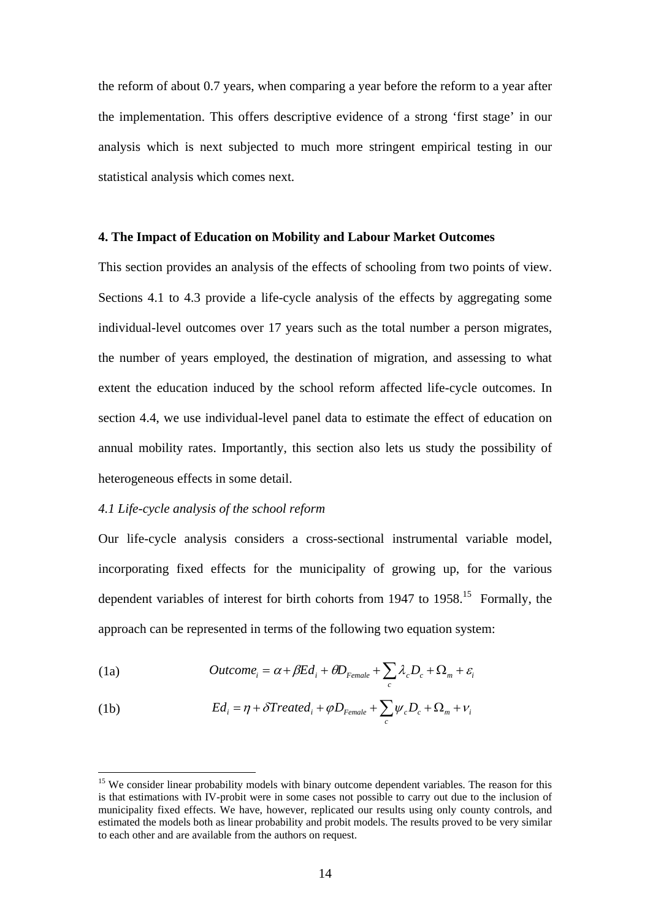the reform of about 0.7 years, when comparing a year before the reform to a year after the implementation. This offers descriptive evidence of a strong 'first stage' in our analysis which is next subjected to much more stringent empirical testing in our statistical analysis which comes next.

#### **4. The Impact of Education on Mobility and Labour Market Outcomes**

This section provides an analysis of the effects of schooling from two points of view. Sections 4.1 to 4.3 provide a life-cycle analysis of the effects by aggregating some individual-level outcomes over 17 years such as the total number a person migrates, the number of years employed, the destination of migration, and assessing to what extent the education induced by the school reform affected life-cycle outcomes. In section 4.4, we use individual-level panel data to estimate the effect of education on annual mobility rates. Importantly, this section also lets us study the possibility of heterogeneous effects in some detail.

#### *4.1 Life-cycle analysis of the school reform*

 $\overline{a}$ 

Our life-cycle analysis considers a cross-sectional instrumental variable model, incorporating fixed effects for the municipality of growing up, for the various dependent variables of interest for birth cohorts from 1947 to 1958.<sup>15</sup> Formally, the approach can be represented in terms of the following two equation system:

(1a) 
$$
Outcome_i = \alpha + \beta Ed_i + \theta D_{Female} + \sum_c \lambda_c D_c + \Omega_m + \varepsilon_i
$$

(1b) 
$$
Ed_i = \eta + \delta Treated_i + \varphi D_{Female} + \sum_c \psi_c D_c + \Omega_m + \nu_i
$$

<span id="page-16-0"></span><sup>&</sup>lt;sup>15</sup> We consider linear probability models with binary outcome dependent variables. The reason for this is that estimations with IV-probit were in some cases not possible to carry out due to the inclusion of municipality fixed effects. We have, however, replicated our results using only county controls, and estimated the models both as linear probability and probit models. The results proved to be very similar to each other and are available from the authors on request.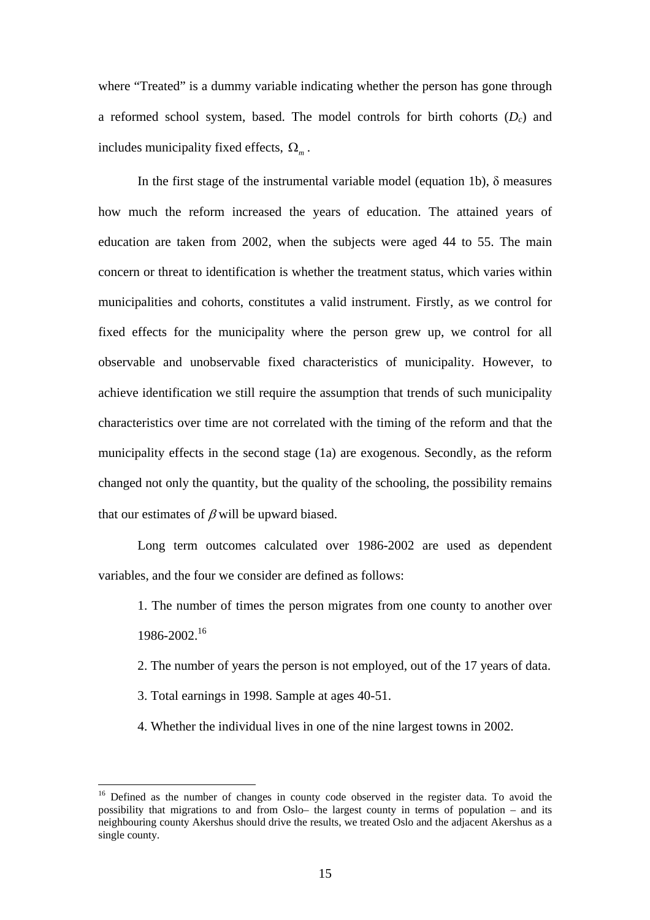where "Treated" is a dummy variable indicating whether the person has gone through a reformed school system, based. The model controls for birth cohorts (*Dc*) and includes municipality fixed effects,  $\Omega_m$ .

In the first stage of the instrumental variable model (equation 1b),  $\delta$  measures how much the reform increased the years of education. The attained years of education are taken from 2002, when the subjects were aged 44 to 55. The main concern or threat to identification is whether the treatment status, which varies within municipalities and cohorts, constitutes a valid instrument. Firstly, as we control for fixed effects for the municipality where the person grew up, we control for all observable and unobservable fixed characteristics of municipality. However, to achieve identification we still require the assumption that trends of such municipality characteristics over time are not correlated with the timing of the reform and that the municipality effects in the second stage (1a) are exogenous. Secondly, as the reform changed not only the quantity, but the quality of the schooling, the possibility remains that our estimates of  $\beta$  will be upward biased.

Long term outcomes calculated over 1986-2002 are used as dependent variables, and the four we consider are defined as follows:

1. The number of times the person migrates from one county to another over 1986-2002.[16](#page-17-0) 

2. The number of years the person is not employed, out of the 17 years of data.

3. Total earnings in 1998. Sample at ages 40-51.

 $\overline{a}$ 

4. Whether the individual lives in one of the nine largest towns in 2002.

<span id="page-17-0"></span><sup>&</sup>lt;sup>16</sup> Defined as the number of changes in county code observed in the register data. To avoid the possibility that migrations to and from Oslo– the largest county in terms of population – and its neighbouring county Akershus should drive the results, we treated Oslo and the adjacent Akershus as a single county.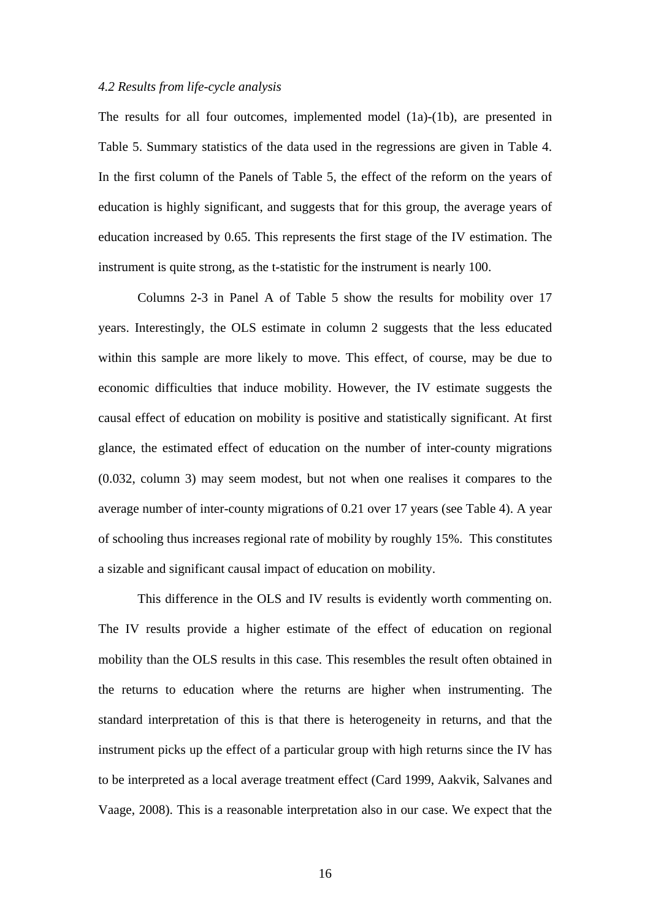#### *4.2 Results from life-cycle analysis*

The results for all four outcomes, implemented model (1a)-(1b), are presented in Table 5. Summary statistics of the data used in the regressions are given in Table 4. In the first column of the Panels of Table 5, the effect of the reform on the years of education is highly significant, and suggests that for this group, the average years of education increased by 0.65. This represents the first stage of the IV estimation. The instrument is quite strong, as the t-statistic for the instrument is nearly 100.

Columns 2-3 in Panel A of Table 5 show the results for mobility over 17 years. Interestingly, the OLS estimate in column 2 suggests that the less educated within this sample are more likely to move. This effect, of course, may be due to economic difficulties that induce mobility. However, the IV estimate suggests the causal effect of education on mobility is positive and statistically significant. At first glance, the estimated effect of education on the number of inter-county migrations (0.032, column 3) may seem modest, but not when one realises it compares to the average number of inter-county migrations of 0.21 over 17 years (see Table 4). A year of schooling thus increases regional rate of mobility by roughly 15%. This constitutes a sizable and significant causal impact of education on mobility.

This difference in the OLS and IV results is evidently worth commenting on. The IV results provide a higher estimate of the effect of education on regional mobility than the OLS results in this case. This resembles the result often obtained in the returns to education where the returns are higher when instrumenting. The standard interpretation of this is that there is heterogeneity in returns, and that the instrument picks up the effect of a particular group with high returns since the IV has to be interpreted as a local average treatment effect (Card 1999, Aakvik, Salvanes and Vaage, 2008). This is a reasonable interpretation also in our case. We expect that the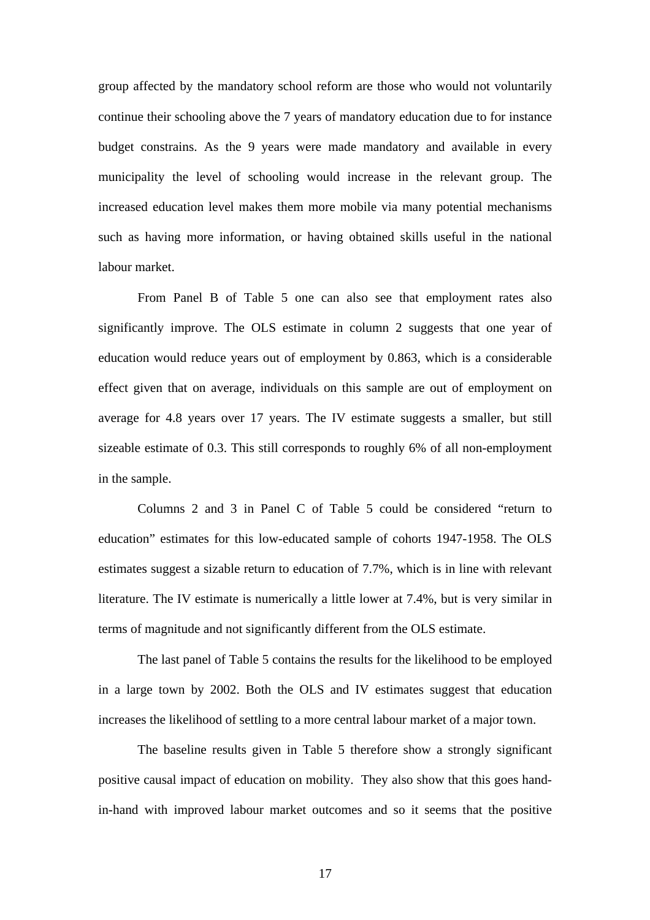group affected by the mandatory school reform are those who would not voluntarily continue their schooling above the 7 years of mandatory education due to for instance budget constrains. As the 9 years were made mandatory and available in every municipality the level of schooling would increase in the relevant group. The increased education level makes them more mobile via many potential mechanisms such as having more information, or having obtained skills useful in the national labour market.

From Panel B of Table 5 one can also see that employment rates also significantly improve. The OLS estimate in column 2 suggests that one year of education would reduce years out of employment by 0.863, which is a considerable effect given that on average, individuals on this sample are out of employment on average for 4.8 years over 17 years. The IV estimate suggests a smaller, but still sizeable estimate of 0.3. This still corresponds to roughly 6% of all non-employment in the sample.

Columns 2 and 3 in Panel C of Table 5 could be considered "return to education" estimates for this low-educated sample of cohorts 1947-1958. The OLS estimates suggest a sizable return to education of 7.7%, which is in line with relevant literature. The IV estimate is numerically a little lower at 7.4%, but is very similar in terms of magnitude and not significantly different from the OLS estimate.

The last panel of Table 5 contains the results for the likelihood to be employed in a large town by 2002. Both the OLS and IV estimates suggest that education increases the likelihood of settling to a more central labour market of a major town.

The baseline results given in Table 5 therefore show a strongly significant positive causal impact of education on mobility. They also show that this goes handin-hand with improved labour market outcomes and so it seems that the positive

17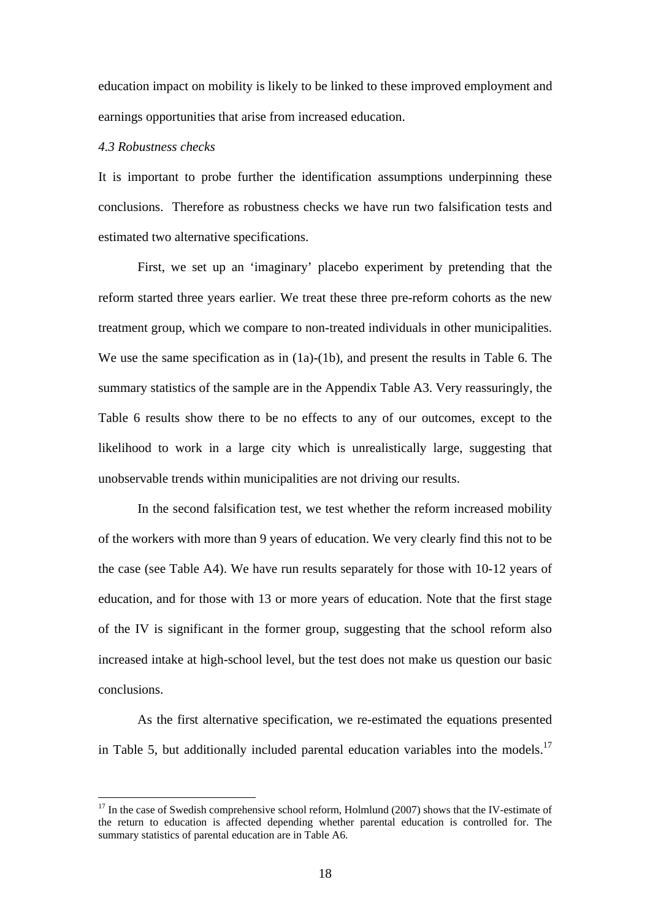education impact on mobility is likely to be linked to these improved employment and earnings opportunities that arise from increased education.

#### *4.3 Robustness checks*

 $\overline{a}$ 

It is important to probe further the identification assumptions underpinning these conclusions. Therefore as robustness checks we have run two falsification tests and estimated two alternative specifications.

First, we set up an 'imaginary' placebo experiment by pretending that the reform started three years earlier. We treat these three pre-reform cohorts as the new treatment group, which we compare to non-treated individuals in other municipalities. We use the same specification as in  $(1a)-(1b)$ , and present the results in Table 6. The summary statistics of the sample are in the Appendix Table A3. Very reassuringly, the Table 6 results show there to be no effects to any of our outcomes, except to the likelihood to work in a large city which is unrealistically large, suggesting that unobservable trends within municipalities are not driving our results.

In the second falsification test, we test whether the reform increased mobility of the workers with more than 9 years of education. We very clearly find this not to be the case (see Table A4). We have run results separately for those with 10-12 years of education, and for those with 13 or more years of education. Note that the first stage of the IV is significant in the former group, suggesting that the school reform also increased intake at high-school level, but the test does not make us question our basic conclusions.

As the first alternative specification, we re-estimated the equations presented in Table 5, but additionally included parental education variables into the models.<sup>17</sup>

<span id="page-20-0"></span> $17$  In the case of Swedish comprehensive school reform, Holmlund (2007) shows that the IV-estimate of the return to education is affected depending whether parental education is controlled for. The summary statistics of parental education are in Table A6.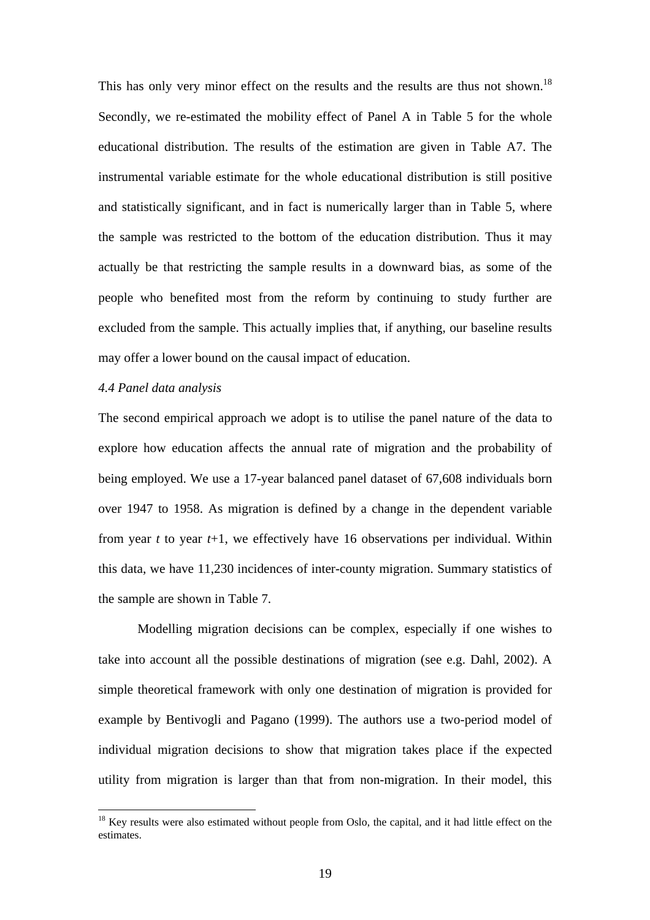This has only very minor effect on the results and the results are thus not shown.<sup>18</sup> Secondly, we re-estimated the mobility effect of Panel A in Table 5 for the whole educational distribution. The results of the estimation are given in Table A7. The instrumental variable estimate for the whole educational distribution is still positive and statistically significant, and in fact is numerically larger than in Table 5, where the sample was restricted to the bottom of the education distribution. Thus it may actually be that restricting the sample results in a downward bias, as some of the people who benefited most from the reform by continuing to study further are excluded from the sample. This actually implies that, if anything, our baseline results may offer a lower bound on the causal impact of education.

#### *4.4 Panel data analysis*

 $\overline{a}$ 

The second empirical approach we adopt is to utilise the panel nature of the data to explore how education affects the annual rate of migration and the probability of being employed. We use a 17-year balanced panel dataset of 67,608 individuals born over 1947 to 1958. As migration is defined by a change in the dependent variable from year *t* to year *t*+1, we effectively have 16 observations per individual. Within this data, we have 11,230 incidences of inter-county migration. Summary statistics of the sample are shown in Table 7.

Modelling migration decisions can be complex, especially if one wishes to take into account all the possible destinations of migration (see e.g. Dahl, 2002). A simple theoretical framework with only one destination of migration is provided for example by Bentivogli and Pagano (1999). The authors use a two-period model of individual migration decisions to show that migration takes place if the expected utility from migration is larger than that from non-migration. In their model, this

<span id="page-21-0"></span> $18$  Key results were also estimated without people from Oslo, the capital, and it had little effect on the estimates.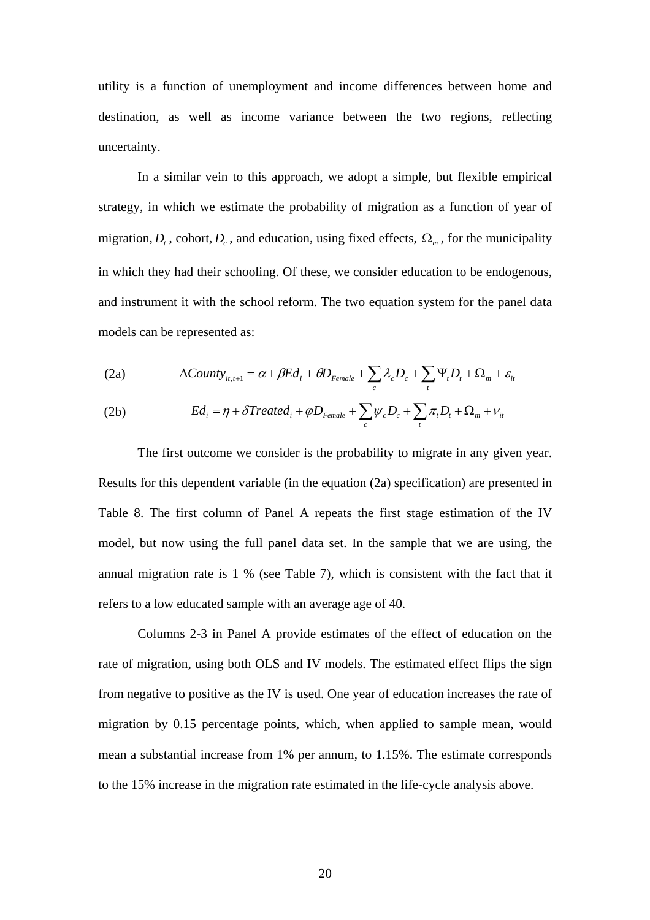utility is a function of unemployment and income differences between home and destination, as well as income variance between the two regions, reflecting uncertainty.

In a similar vein to this approach, we adopt a simple, but flexible empirical strategy, in which we estimate the probability of migration as a function of year of migration,  $D_t$ , cohort,  $D_c$ , and education, using fixed effects,  $\Omega_m$ , for the municipality in which they had their schooling. Of these, we consider education to be endogenous, and instrument it with the school reform. The two equation system for the panel data models can be represented as:

(2a) 
$$
\Delta County_{it,t+1} = \alpha + \beta Ed_i + \theta D_{Female} + \sum_c \lambda_c D_c + \sum_t \Psi_t D_t + \Omega_m + \varepsilon_{it}
$$

(2b) 
$$
Ed_i = \eta + \delta Treated_i + \varphi D_{Female} + \sum_c \psi_c D_c + \sum_t \pi_t D_t + \Omega_m + \nu_{it}
$$

The first outcome we consider is the probability to migrate in any given year. Results for this dependent variable (in the equation (2a) specification) are presented in Table 8. The first column of Panel A repeats the first stage estimation of the IV model, but now using the full panel data set. In the sample that we are using, the annual migration rate is 1 % (see Table 7), which is consistent with the fact that it refers to a low educated sample with an average age of 40.

Columns 2-3 in Panel A provide estimates of the effect of education on the rate of migration, using both OLS and IV models. The estimated effect flips the sign from negative to positive as the IV is used. One year of education increases the rate of migration by 0.15 percentage points, which, when applied to sample mean, would mean a substantial increase from 1% per annum, to 1.15%. The estimate corresponds to the 15% increase in the migration rate estimated in the life-cycle analysis above.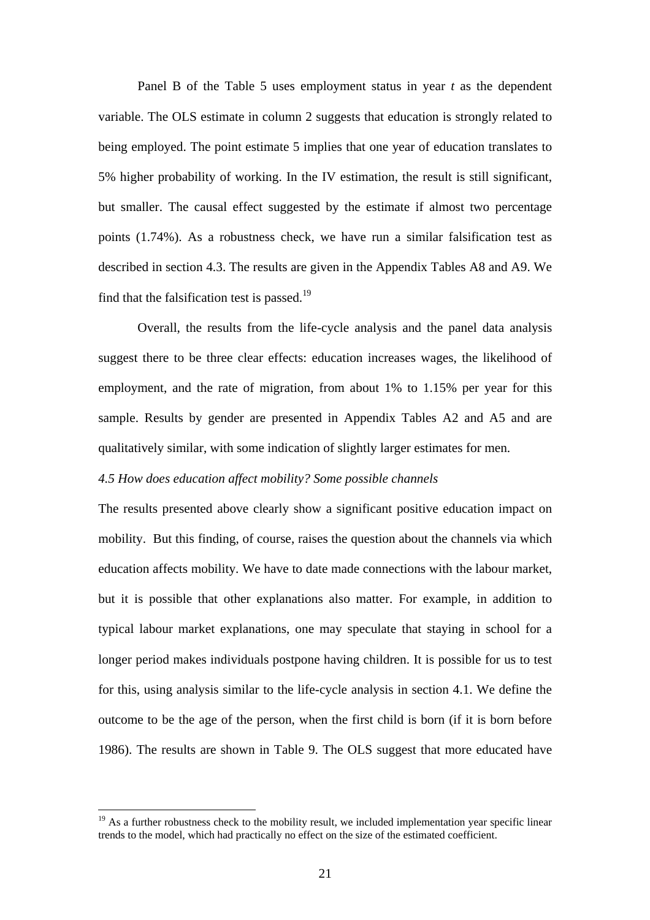Panel B of the Table 5 uses employment status in year *t* as the dependent variable. The OLS estimate in column 2 suggests that education is strongly related to being employed. The point estimate 5 implies that one year of education translates to 5% higher probability of working. In the IV estimation, the result is still significant, but smaller. The causal effect suggested by the estimate if almost two percentage points (1.74%). As a robustness check, we have run a similar falsification test as described in section 4.3. The results are given in the Appendix Tables A8 and A9. We find that the falsification test is passed.<sup>19</sup>

Overall, the results from the life-cycle analysis and the panel data analysis suggest there to be three clear effects: education increases wages, the likelihood of employment, and the rate of migration, from about 1% to 1.15% per year for this sample. Results by gender are presented in Appendix Tables A2 and A5 and are qualitatively similar, with some indication of slightly larger estimates for men.

#### *4.5 How does education affect mobility? Some possible channels*

The results presented above clearly show a significant positive education impact on mobility. But this finding, of course, raises the question about the channels via which education affects mobility. We have to date made connections with the labour market, but it is possible that other explanations also matter. For example, in addition to typical labour market explanations, one may speculate that staying in school for a longer period makes individuals postpone having children. It is possible for us to test for this, using analysis similar to the life-cycle analysis in section 4.1. We define the outcome to be the age of the person, when the first child is born (if it is born before 1986). The results are shown in Table 9. The OLS suggest that more educated have

<span id="page-23-0"></span> $19$  As a further robustness check to the mobility result, we included implementation year specific linear trends to the model, which had practically no effect on the size of the estimated coefficient.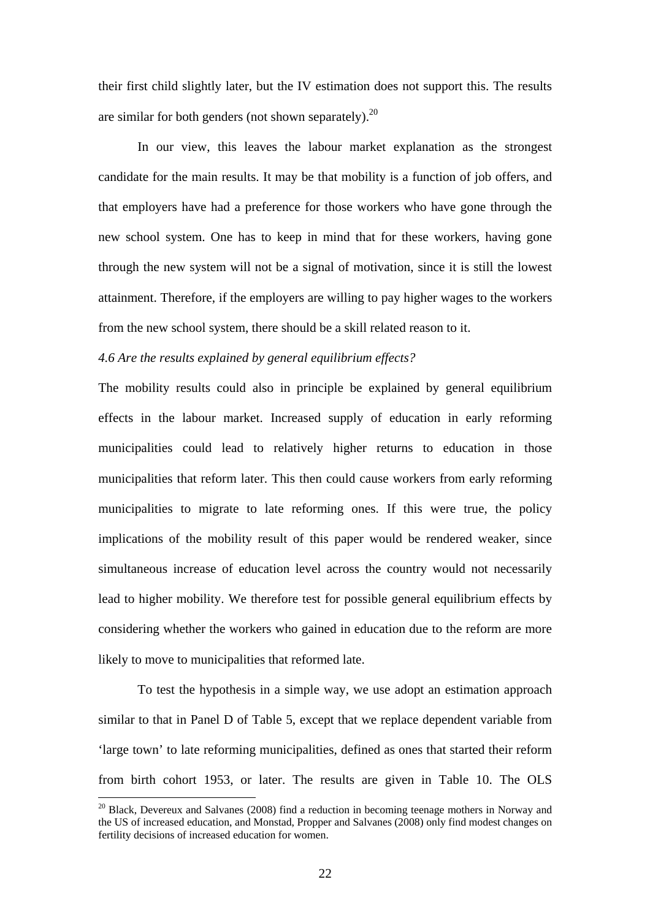their first child slightly later, but the IV estimation does not support this. The results are similar for both genders (not shown separately).<sup>20</sup>

In our view, this leaves the labour market explanation as the strongest candidate for the main results. It may be that mobility is a function of job offers, and that employers have had a preference for those workers who have gone through the new school system. One has to keep in mind that for these workers, having gone through the new system will not be a signal of motivation, since it is still the lowest attainment. Therefore, if the employers are willing to pay higher wages to the workers from the new school system, there should be a skill related reason to it.

#### *4.6 Are the results explained by general equilibrium effects?*

The mobility results could also in principle be explained by general equilibrium effects in the labour market. Increased supply of education in early reforming municipalities could lead to relatively higher returns to education in those municipalities that reform later. This then could cause workers from early reforming municipalities to migrate to late reforming ones. If this were true, the policy implications of the mobility result of this paper would be rendered weaker, since simultaneous increase of education level across the country would not necessarily lead to higher mobility. We therefore test for possible general equilibrium effects by considering whether the workers who gained in education due to the reform are more likely to move to municipalities that reformed late.

To test the hypothesis in a simple way, we use adopt an estimation approach similar to that in Panel D of Table 5, except that we replace dependent variable from 'large town' to late reforming municipalities, defined as ones that started their reform from birth cohort 1953, or later. The results are given in Table 10. The OLS

<span id="page-24-0"></span> $20$  Black, Devereux and Salvanes (2008) find a reduction in becoming teenage mothers in Norway and the US of increased education, and Monstad, Propper and Salvanes (2008) only find modest changes on fertility decisions of increased education for women.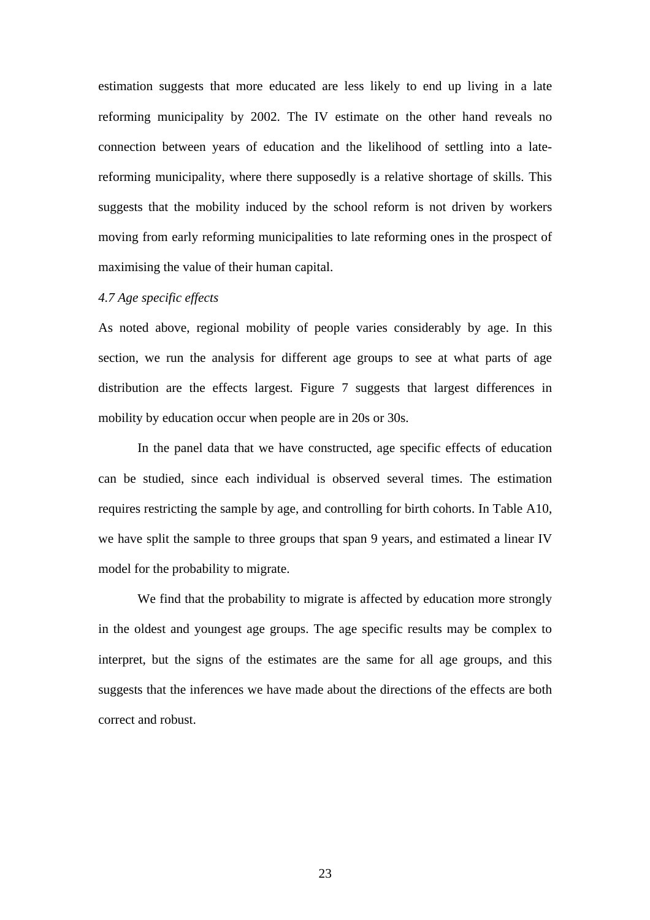estimation suggests that more educated are less likely to end up living in a late reforming municipality by 2002. The IV estimate on the other hand reveals no connection between years of education and the likelihood of settling into a latereforming municipality, where there supposedly is a relative shortage of skills. This suggests that the mobility induced by the school reform is not driven by workers moving from early reforming municipalities to late reforming ones in the prospect of maximising the value of their human capital.

#### *4.7 Age specific effects*

As noted above, regional mobility of people varies considerably by age. In this section, we run the analysis for different age groups to see at what parts of age distribution are the effects largest. Figure 7 suggests that largest differences in mobility by education occur when people are in 20s or 30s.

In the panel data that we have constructed, age specific effects of education can be studied, since each individual is observed several times. The estimation requires restricting the sample by age, and controlling for birth cohorts. In Table A10, we have split the sample to three groups that span 9 years, and estimated a linear IV model for the probability to migrate.

We find that the probability to migrate is affected by education more strongly in the oldest and youngest age groups. The age specific results may be complex to interpret, but the signs of the estimates are the same for all age groups, and this suggests that the inferences we have made about the directions of the effects are both correct and robust.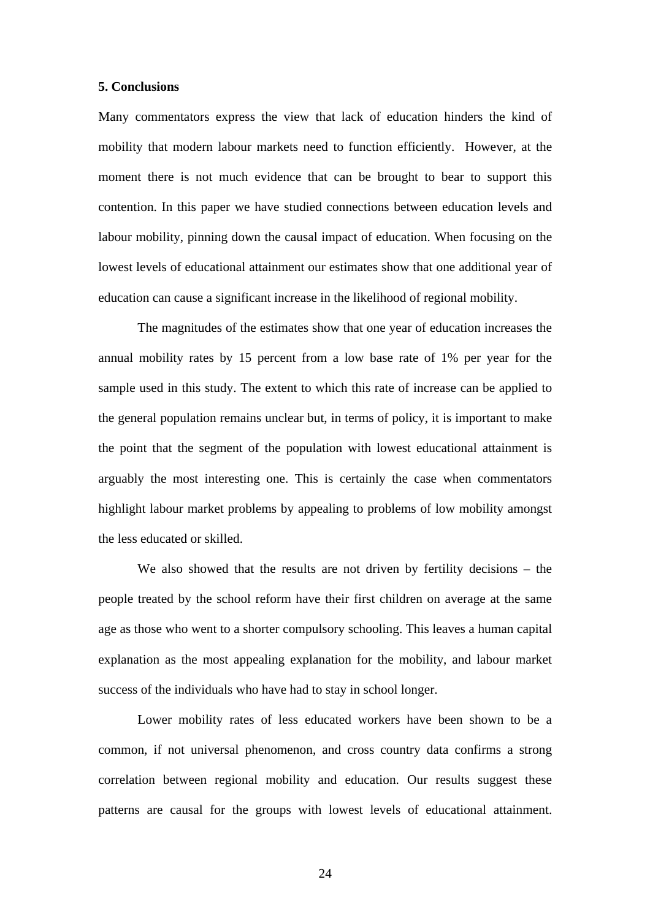#### **5. Conclusions**

Many commentators express the view that lack of education hinders the kind of mobility that modern labour markets need to function efficiently. However, at the moment there is not much evidence that can be brought to bear to support this contention. In this paper we have studied connections between education levels and labour mobility, pinning down the causal impact of education. When focusing on the lowest levels of educational attainment our estimates show that one additional year of education can cause a significant increase in the likelihood of regional mobility.

The magnitudes of the estimates show that one year of education increases the annual mobility rates by 15 percent from a low base rate of 1% per year for the sample used in this study. The extent to which this rate of increase can be applied to the general population remains unclear but, in terms of policy, it is important to make the point that the segment of the population with lowest educational attainment is arguably the most interesting one. This is certainly the case when commentators highlight labour market problems by appealing to problems of low mobility amongst the less educated or skilled.

We also showed that the results are not driven by fertility decisions – the people treated by the school reform have their first children on average at the same age as those who went to a shorter compulsory schooling. This leaves a human capital explanation as the most appealing explanation for the mobility, and labour market success of the individuals who have had to stay in school longer.

Lower mobility rates of less educated workers have been shown to be a common, if not universal phenomenon, and cross country data confirms a strong correlation between regional mobility and education. Our results suggest these patterns are causal for the groups with lowest levels of educational attainment.

24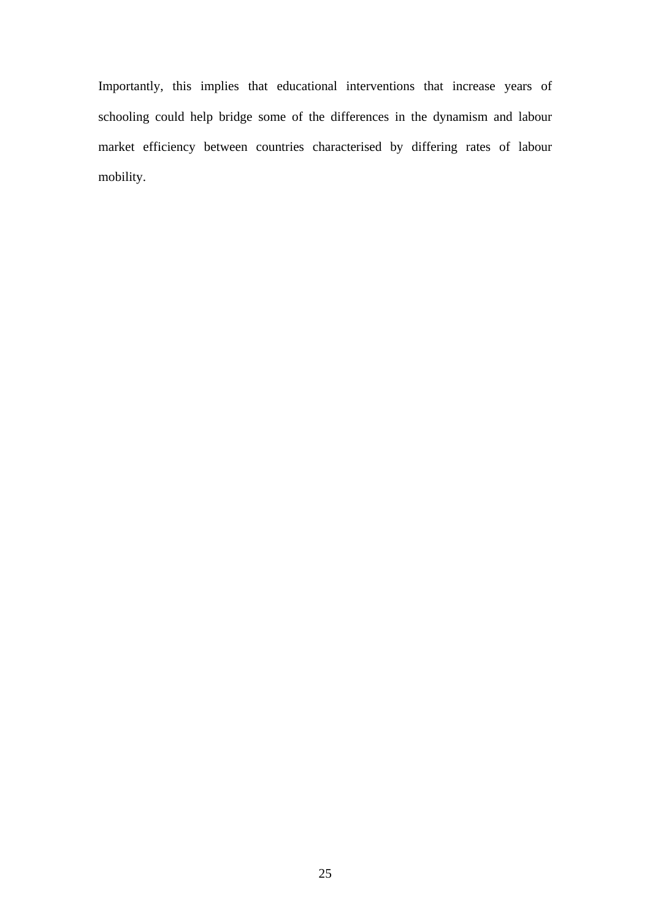Importantly, this implies that educational interventions that increase years of schooling could help bridge some of the differences in the dynamism and labour market efficiency between countries characterised by differing rates of labour mobility.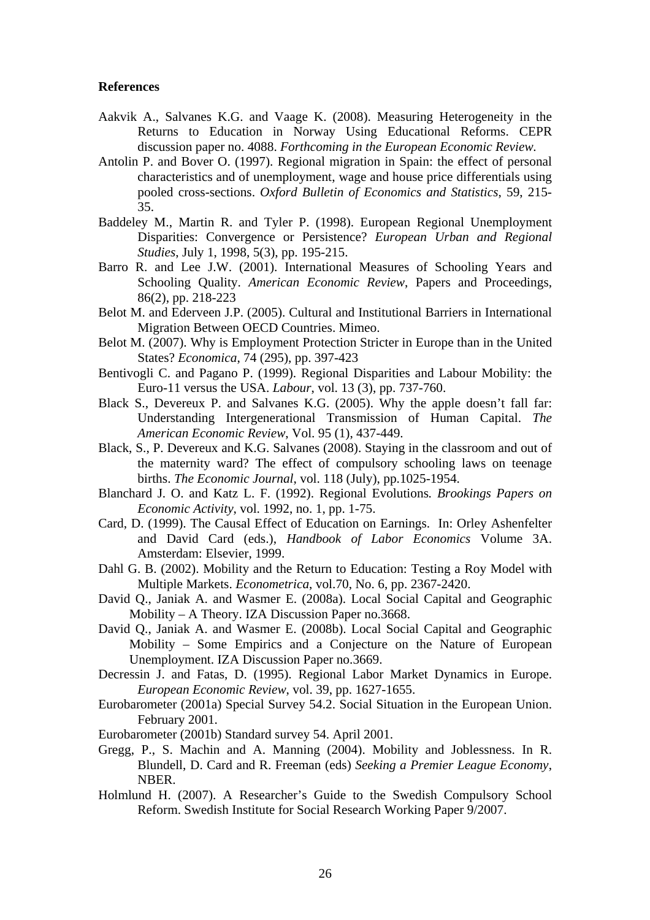#### **References**

- Aakvik A., Salvanes K.G. and Vaage K. (2008). Measuring Heterogeneity in the Returns to Education in Norway Using Educational Reforms. CEPR discussion paper no. 4088. *Forthcoming in the European Economic Review.*
- Antolin P. and Bover O. (1997). Regional migration in Spain: the effect of personal characteristics and of unemployment, wage and house price differentials using pooled cross-sections. *Oxford Bulletin of Economics and Statistics*, 59, 215- 35.
- Baddeley M., Martin R. and Tyler P. (1998). European Regional Unemployment Disparities: Convergence or Persistence? *European Urban and Regional Studies*, July 1, 1998, 5(3), pp. 195-215.
- Barro R. and Lee J.W. (2001). International Measures of Schooling Years and Schooling Quality. *American Economic Review*, Papers and Proceedings, 86(2), pp. 218-223
- Belot M. and Ederveen J.P. (2005). Cultural and Institutional Barriers in International Migration Between OECD Countries. Mimeo.
- Belot M. (2007). Why is Employment Protection Stricter in Europe than in the United States? *Economica*, 74 (295), pp. 397-423
- Bentivogli C. and Pagano P. (1999). Regional Disparities and Labour Mobility: the Euro-11 versus the USA. *Labour*, vol. 13 (3), pp. 737-760.
- Black S., Devereux P. and Salvanes K.G. (2005). Why the apple doesn't fall far: Understanding Intergenerational Transmission of Human Capital. *The American Economic Review*, Vol. 95 (1), 437-449.
- Black, S., P. Devereux and K.G. Salvanes (2008). Staying in the classroom and out of the maternity ward? The effect of compulsory schooling laws on teenage births. *The Economic Journal*, vol. 118 (July), pp.1025-1954.
- Blanchard J. O. and Katz L. F. (1992). Regional Evolutions*. Brookings Papers on Economic Activity*, vol. 1992, no. 1, pp. 1-75.
- Card, D. (1999). The Causal Effect of Education on Earnings. In: Orley Ashenfelter and David Card (eds.), *Handbook of Labor Economics* Volume 3A. Amsterdam: Elsevier, 1999.
- Dahl G. B. (2002). Mobility and the Return to Education: Testing a Roy Model with Multiple Markets. *Econometrica*, vol.70, No. 6, pp. 2367-2420.
- David Q., Janiak A. and Wasmer E. (2008a). Local Social Capital and Geographic Mobility – A Theory. IZA Discussion Paper no.3668.
- David Q., Janiak A. and Wasmer E. (2008b). Local Social Capital and Geographic Mobility – Some Empirics and a Conjecture on the Nature of European Unemployment. IZA Discussion Paper no.3669.
- Decressin J. and Fatas, D. (1995). Regional Labor Market Dynamics in Europe. *European Economic Review*, vol. 39, pp. 1627-1655.
- Eurobarometer (2001a) Special Survey 54.2. Social Situation in the European Union. February 2001.
- Eurobarometer (2001b) Standard survey 54. April 2001.
- Gregg, P., S. Machin and A. Manning (2004). Mobility and Joblessness. In R. Blundell, D. Card and R. Freeman (eds) *Seeking a Premier League Economy*, NBER.
- Holmlund H. (2007). A Researcher's Guide to the Swedish Compulsory School Reform. Swedish Institute for Social Research Working Paper 9/2007.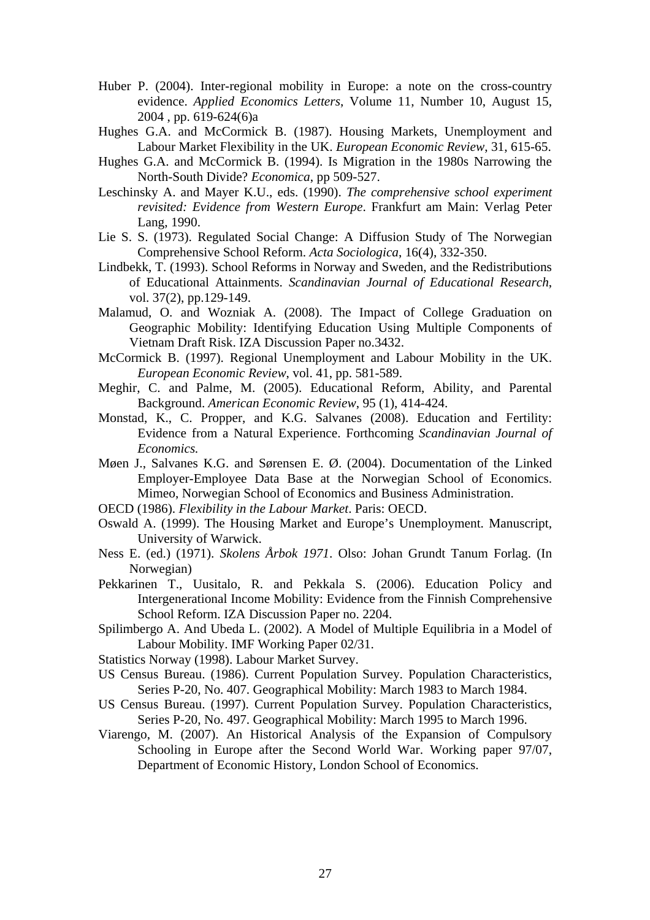- Huber P. (2004). Inter-regional mobility in Europe: a note on the cross-country evidence. *Applied Economics Letters*, Volume 11, Number 10, August 15, 2004 , pp. 619-624(6)a
- Hughes G.A. and McCormick B. (1987). Housing Markets, Unemployment and Labour Market Flexibility in the UK. *European Economic Review*, 31, 615-65.
- Hughes G.A. and McCormick B. (1994). Is Migration in the 1980s Narrowing the North-South Divide? *Economica*, pp 509-527.
- Leschinsky A. and Mayer K.U., eds. (1990). *The comprehensive school experiment revisited: Evidence from Western Europe*. Frankfurt am Main: Verlag Peter Lang, 1990.
- Lie S. S. (1973). Regulated Social Change: A Diffusion Study of The Norwegian Comprehensive School Reform. *Acta Sociologica*, 16(4), 332-350.
- Lindbekk, T. (1993). School Reforms in Norway and Sweden, and the Redistributions of Educational Attainments. *Scandinavian Journal of Educational Research*, vol. 37(2), pp.129-149.
- Malamud, O. and Wozniak A. (2008). The Impact of College Graduation on Geographic Mobility: Identifying Education Using Multiple Components of Vietnam Draft Risk. IZA Discussion Paper no.3432.
- McCormick B. (1997). Regional Unemployment and Labour Mobility in the UK. *European Economic Review*, vol. 41, pp. 581-589.
- Meghir, C. and Palme, M. (2005). Educational Reform, Ability, and Parental Background. *American Economic Review*, 95 (1), 414-424.
- Monstad, K., C. Propper, and K.G. Salvanes (2008). Education and Fertility: Evidence from a Natural Experience. Forthcoming *Scandinavian Journal of Economics.*
- Møen J., Salvanes K.G. and Sørensen E. Ø. (2004). Documentation of the Linked Employer-Employee Data Base at the Norwegian School of Economics. Mimeo, Norwegian School of Economics and Business Administration.
- OECD (1986). *Flexibility in the Labour Market*. Paris: OECD.
- Oswald A. (1999). The Housing Market and Europe's Unemployment. Manuscript, University of Warwick.
- Ness E. (ed.) (1971). *Skolens Årbok 1971*. Olso: Johan Grundt Tanum Forlag. (In Norwegian)
- Pekkarinen T., Uusitalo, R. and Pekkala S. (2006). Education Policy and Intergenerational Income Mobility: Evidence from the Finnish Comprehensive School Reform. IZA Discussion Paper no. 2204.
- Spilimbergo A. And Ubeda L. (2002). A Model of Multiple Equilibria in a Model of Labour Mobility. IMF Working Paper 02/31.
- Statistics Norway (1998). Labour Market Survey.
- US Census Bureau. (1986). Current Population Survey. Population Characteristics, Series P-20, No. 407. Geographical Mobility: March 1983 to March 1984.
- US Census Bureau. (1997). Current Population Survey. Population Characteristics, Series P-20, No. 497. Geographical Mobility: March 1995 to March 1996.
- Viarengo, M. (2007). An Historical Analysis of the Expansion of Compulsory Schooling in Europe after the Second World War. Working paper 97/07, Department of Economic History, London School of Economics.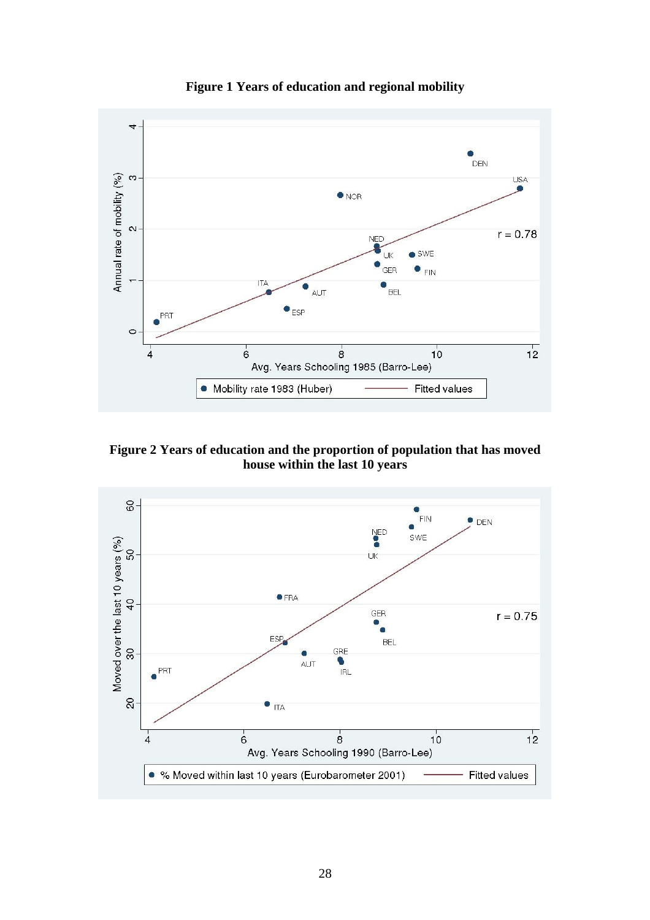

**Figure 1 Years of education and regional mobility** 

**Figure 2 Years of education and the proportion of population that has moved house within the last 10 years** 

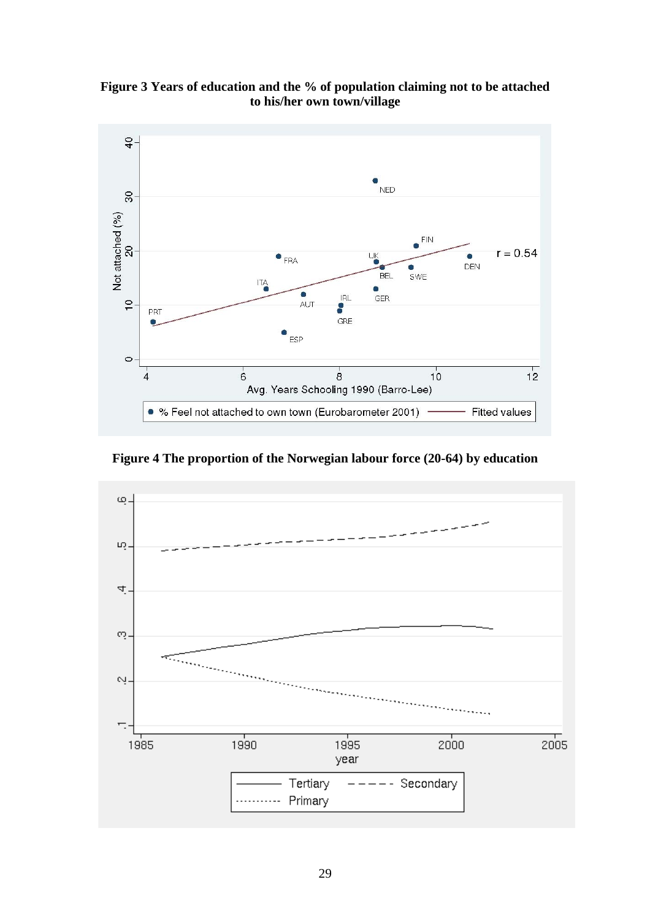**Figure 3 Years of education and the % of population claiming not to be attached to his/her own town/village** 



**Figure 4 The proportion of the Norwegian labour force (20-64) by education** 

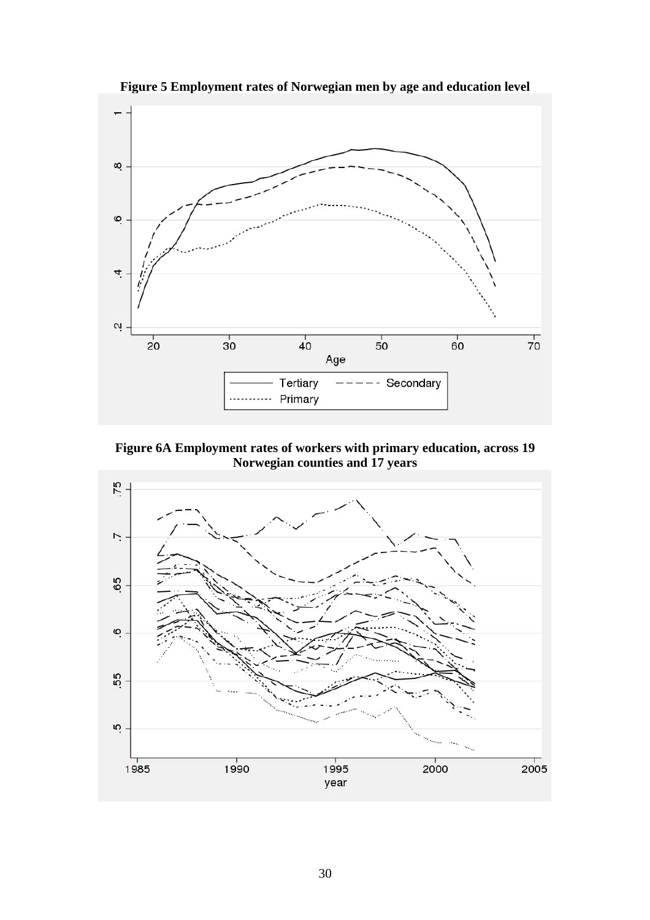

**Figure 5 Employment rates of Norwegian men by age and education level** 

**Figure 6A Employment rates of workers with primary education, across 19 Norwegian counties and 17 years** 

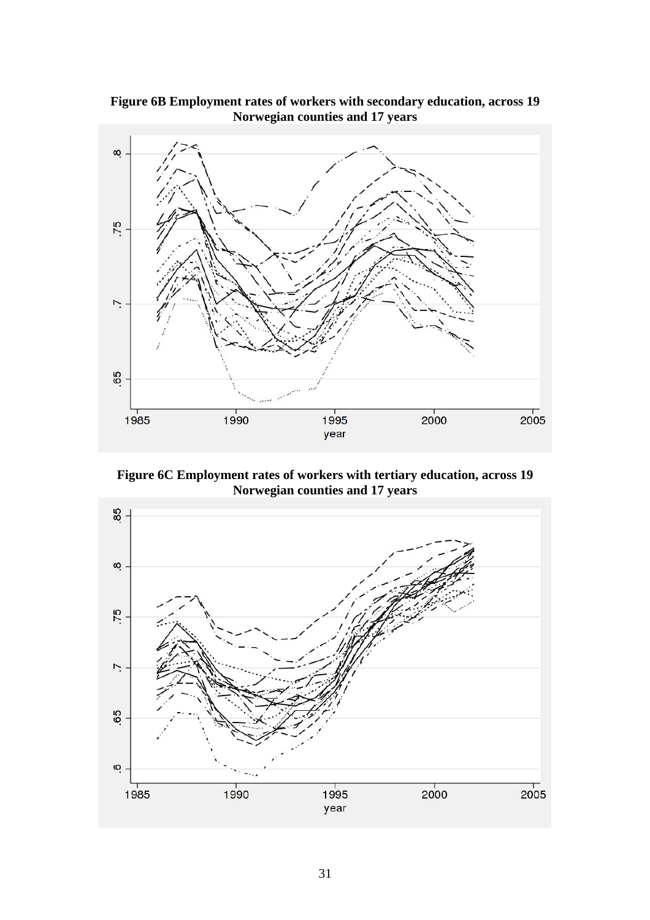

**Figure 6B Employment rates of workers with secondary education, across 19 Norwegian counties and 17 years** 

**Figure 6C Employment rates of workers with tertiary education, across 19 Norwegian counties and 17 years** 

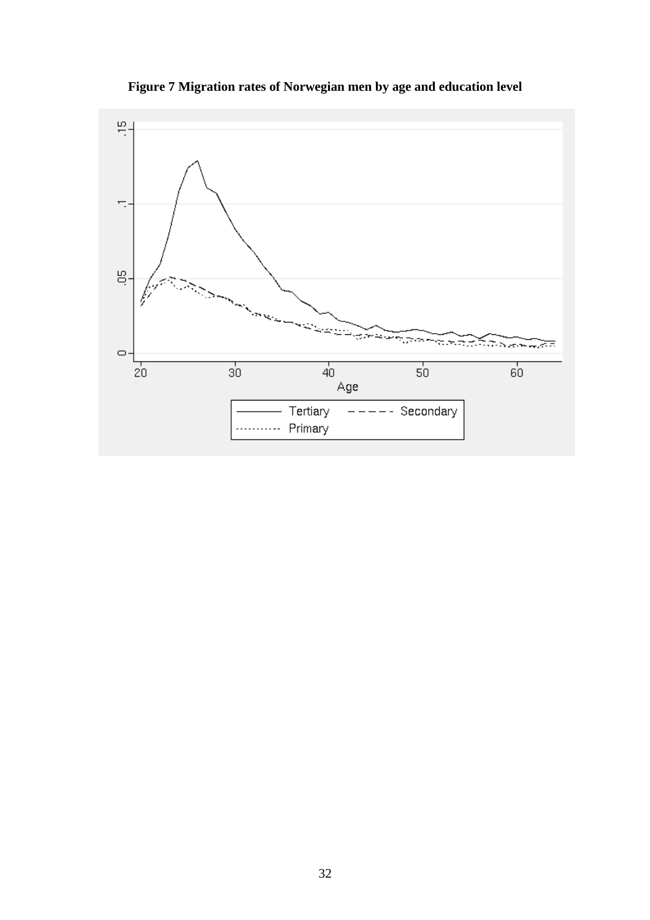

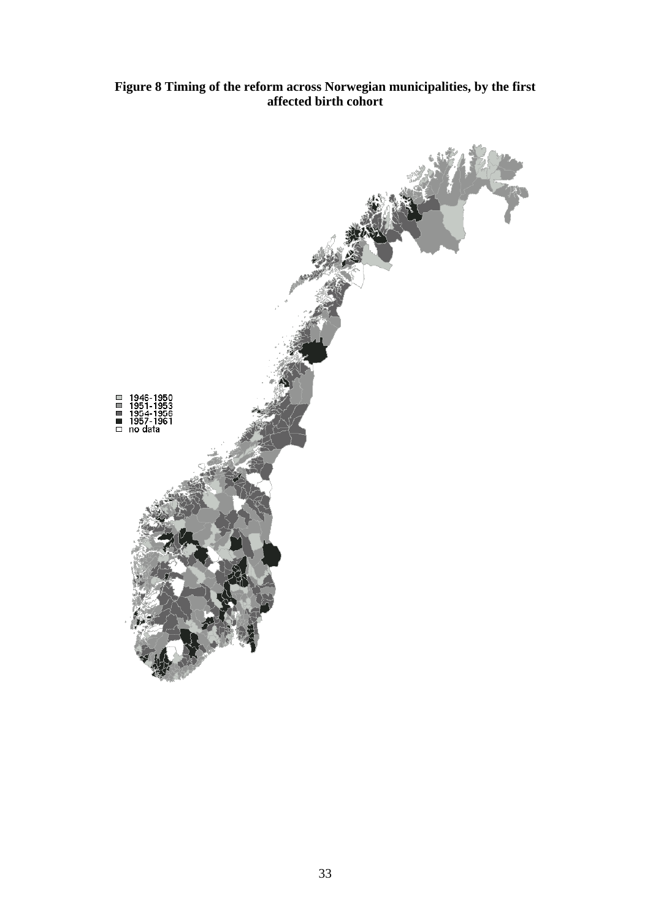### **Figure 8 Timing of the reform across Norwegian municipalities, by the first affected birth cohort**

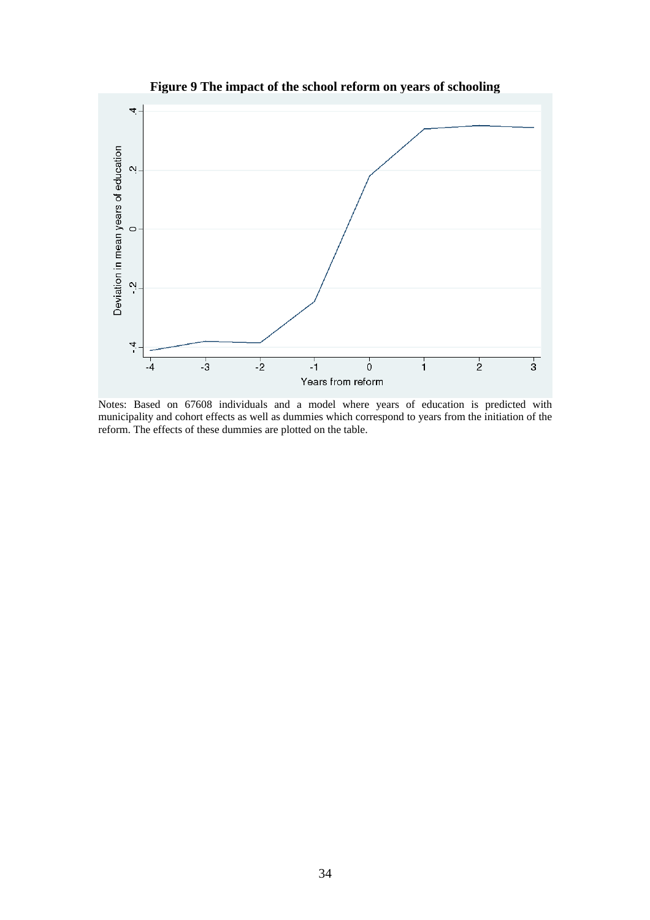

**Figure 9 The impact of the school reform on years of schooling** 

Notes: Based on 67608 individuals and a model where years of education is predicted with municipality and cohort effects as well as dummies which correspond to years from the initiation of the reform. The effects of these dummies are plotted on the table.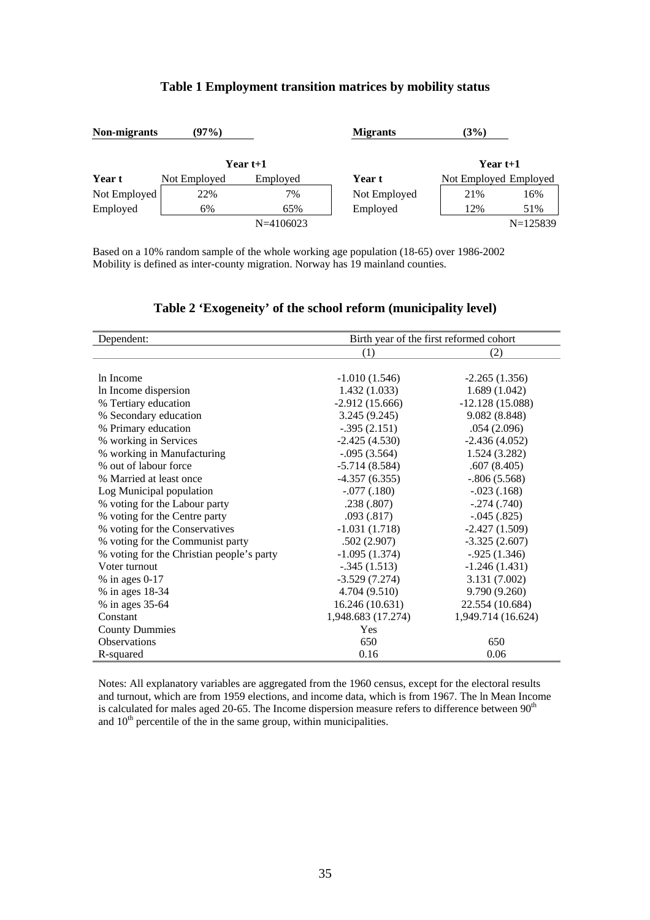#### **Table 1 Employment transition matrices by mobility status**

| Non-migrants | (97%)        |               | <b>Migrants</b> | (3%)                  |            |
|--------------|--------------|---------------|-----------------|-----------------------|------------|
|              | Year t+1     |               |                 | Year t+1              |            |
| Year t       | Not Employed | Employed      | Year t          | Not Employed Employed |            |
| Not Employed | 22%          | 7%            | Not Employed    | 21%                   | 16%        |
| Employed     | 6%           | 65%           | Employed        | 12%                   | 51%        |
|              |              | $N = 4106023$ |                 |                       | $N=125839$ |

Based on a 10% random sample of the whole working age population (18-65) over 1986-2002 Mobility is defined as inter-county migration. Norway has 19 mainland counties.

| Dependent:                                | Birth year of the first reformed cohort |                    |  |
|-------------------------------------------|-----------------------------------------|--------------------|--|
|                                           | (1)                                     | (2)                |  |
|                                           |                                         |                    |  |
| In Income                                 | $-1.010(1.546)$                         | $-2.265(1.356)$    |  |
| In Income dispersion                      | 1.432(1.033)                            | 1.689(1.042)       |  |
| % Tertiary education                      | $-2.912(15.666)$                        | $-12.128(15.088)$  |  |
| % Secondary education                     | 3.245(9.245)                            | 9.082 (8.848)      |  |
| % Primary education                       | $-.395(2.151)$                          | .054(2.096)        |  |
| % working in Services                     | $-2.425(4.530)$                         | $-2.436(4.052)$    |  |
| % working in Manufacturing                | $-.095(3.564)$                          | 1.524(3.282)       |  |
| % out of labour force                     | $-5.714(8.584)$                         | .607(8.405)        |  |
| % Married at least once                   | $-4.357(6.355)$                         | $-.806(5.568)$     |  |
| Log Municipal population                  | $-.077(.180)$                           | $-.023(.168)$      |  |
| % voting for the Labour party             | .238(.807)                              | $-.274(.740)$      |  |
| % voting for the Centre party             | .093(.817)                              | $-.045(.825)$      |  |
| % voting for the Conservatives            | $-1.031(1.718)$                         | $-2.427(1.509)$    |  |
| % voting for the Communist party          | .502(2.907)                             | $-3.325(2.607)$    |  |
| % voting for the Christian people's party | $-1.095(1.374)$                         | $-.925(1.346)$     |  |
| Voter turnout                             | $-.345(1.513)$                          | $-1.246(1.431)$    |  |
| $%$ in ages 0-17                          | $-3.529(7.274)$                         | 3.131 (7.002)      |  |
| % in ages 18-34                           | 4.704 (9.510)                           | 9.790 (9.260)      |  |
| % in ages 35-64                           | 16.246 (10.631)                         | 22.554 (10.684)    |  |
| Constant                                  | 1,948.683 (17.274)                      | 1,949.714 (16.624) |  |
| <b>County Dummies</b>                     | Yes                                     |                    |  |
| <b>Observations</b>                       | 650                                     | 650                |  |
| R-squared                                 | 0.16                                    | 0.06               |  |

## **Table 2 'Exogeneity' of the school reform (municipality level)**

Notes: All explanatory variables are aggregated from the 1960 census, except for the electoral results and turnout, which are from 1959 elections, and income data, which is from 1967. The ln Mean Income is calculated for males aged 20-65. The Income dispersion measure refers to difference between  $90<sup>th</sup>$ and  $10<sup>th</sup>$  percentile of the in the same group, within municipalities.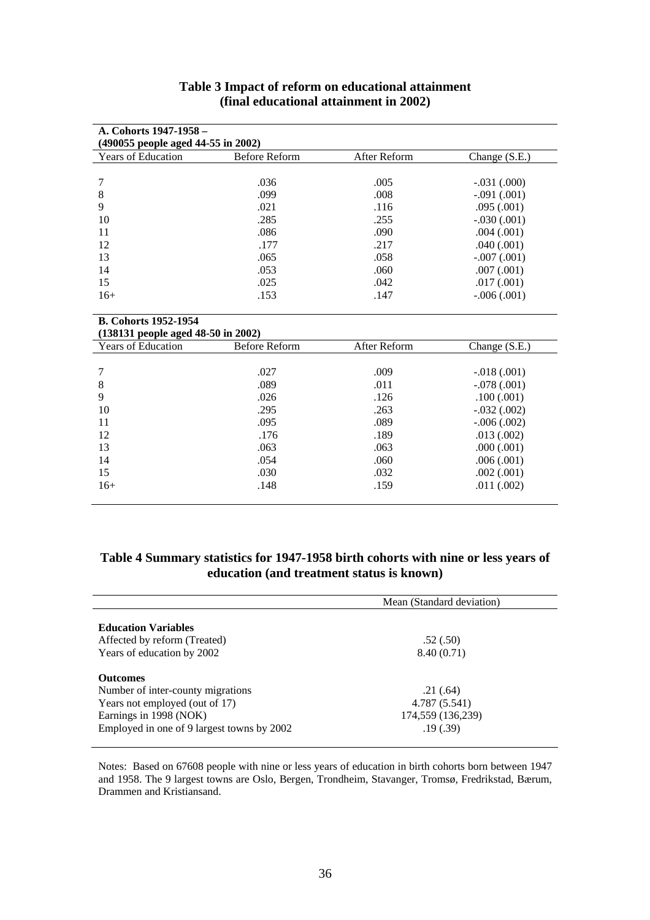| A. Cohorts 1947-1958 –             |               |              |                 |
|------------------------------------|---------------|--------------|-----------------|
| (490055 people aged 44-55 in 2002) |               |              |                 |
| <b>Years of Education</b>          | Before Reform | After Reform | Change $(S.E.)$ |
|                                    |               |              |                 |
|                                    | .036          | .005         | $-.031(.000)$   |
| 8                                  | .099          | .008         | $-.091(.001)$   |
| 9                                  | .021          | .116         | .095(.001)      |
| 10                                 | .285          | .255         | $-.030(.001)$   |
| 11                                 | .086          | .090         | $.004 \,(.001)$ |
| 12                                 | .177          | .217         | .040(.001)      |
| 13                                 | .065          | .058         | $-.007(.001)$   |
| 14                                 | .053          | .060         | .007(.001)      |
| 15                                 | .025          | .042         | .017(.001)      |
| $16+$                              | .153          | .147         | $-.006(.001)$   |

#### **Table 3 Impact of reform on educational attainment (final educational attainment in 2002)**

#### **B. Cohorts 1952-1954 (138131 people aged 48-50 in 2002)**

| <b>Years of Education</b> | Before Reform | After Reform | Change $(S.E.)$ |
|---------------------------|---------------|--------------|-----------------|
|                           |               |              |                 |
|                           | .027          | .009         | $-.018(.001)$   |
| 8                         | .089          | .011         | $-.078(.001)$   |
| 9                         | .026          | .126         | .100(.001)      |
| 10                        | .295          | .263         | $-.032(.002)$   |
| 11                        | .095          | .089         | $-.006(.002)$   |
| 12                        | .176          | .189         | .013(.002)      |
| 13                        | .063          | .063         | .000(.001)      |
| 14                        | .054          | .060         | .006(.001)      |
| 15                        | .030          | .032         | .002(.001)      |
| $16+$                     | .148          | .159         | .011(.002)      |

# **Table 4 Summary statistics for 1947-1958 birth cohorts with nine or less years of education (and treatment status is known)**

|                                            | Mean (Standard deviation) |
|--------------------------------------------|---------------------------|
| <b>Education Variables</b>                 |                           |
| Affected by reform (Treated)               | .52(.50)                  |
| Years of education by 2002                 | 8.40(0.71)                |
| <b>Outcomes</b>                            |                           |
| Number of inter-county migrations          | .21(.64)                  |
| Years not employed (out of 17)             | 4.787 (5.541)             |
| Earnings in 1998 (NOK)                     | 174,559 (136,239)         |
| Employed in one of 9 largest towns by 2002 | .19(0.39)                 |

Notes: Based on 67608 people with nine or less years of education in birth cohorts born between 1947 and 1958. The 9 largest towns are Oslo, Bergen, Trondheim, Stavanger, Tromsø, Fredrikstad, Bærum, Drammen and Kristiansand.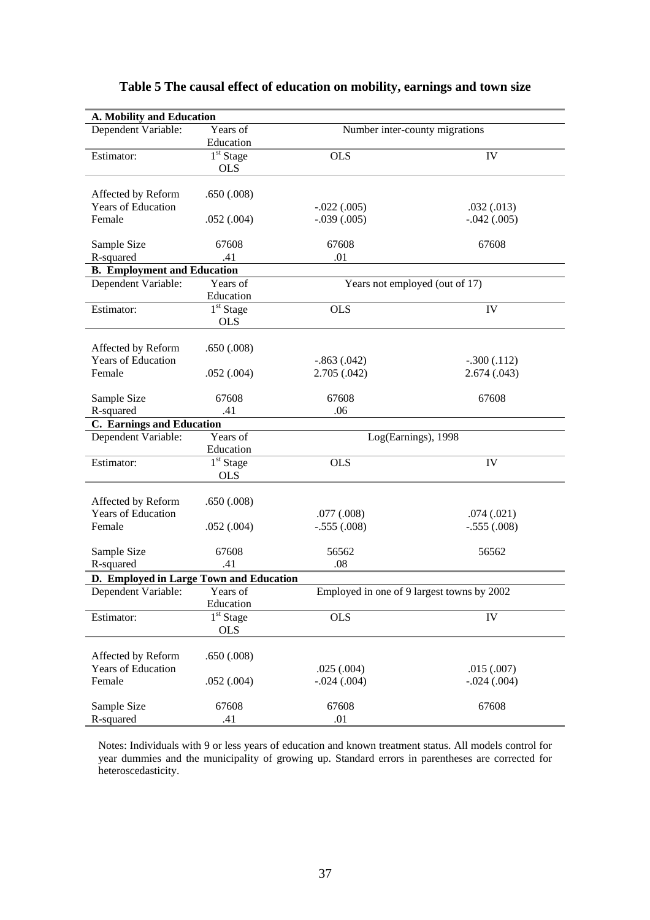| A. Mobility and Education                |                       |                                            |               |
|------------------------------------------|-----------------------|--------------------------------------------|---------------|
| Dependent Variable:                      | Years of              | Number inter-county migrations             |               |
|                                          | Education             |                                            |               |
| Estimator:                               | 1 <sup>st</sup> Stage | <b>OLS</b>                                 | IV            |
|                                          | <b>OLS</b>            |                                            |               |
|                                          |                       |                                            |               |
| Affected by Reform<br>Years of Education | .650(.008)            | $-.022(.005)$                              | .032(.013)    |
| Female                                   | .052(.004)            | $-.039(.005)$                              | $-.042(.005)$ |
|                                          |                       |                                            |               |
| Sample Size                              | 67608                 | 67608                                      | 67608         |
| R-squared                                | .41                   | .01                                        |               |
| <b>B.</b> Employment and Education       |                       |                                            |               |
| Dependent Variable:                      | Years of              | Years not employed (out of 17)             |               |
|                                          | Education             |                                            |               |
| Estimator:                               | $1st$ Stage           | <b>OLS</b>                                 | IV            |
|                                          | <b>OLS</b>            |                                            |               |
| Affected by Reform                       | .650(.008)            |                                            |               |
| Years of Education                       |                       | $-.863(.042)$                              | $-.300(.112)$ |
| Female                                   | .052(.004)            | 2.705(.042)                                | 2.674 (.043)  |
|                                          |                       |                                            |               |
| Sample Size                              | 67608                 | 67608                                      | 67608         |
| R-squared                                | .41                   | .06                                        |               |
| C. Earnings and Education                |                       |                                            |               |
| Dependent Variable:                      | Years of              | Log(Earnings), 1998                        |               |
|                                          | Education             |                                            |               |
| Estimator:                               | $1st$ Stage           | <b>OLS</b>                                 | IV            |
|                                          | <b>OLS</b>            |                                            |               |
| Affected by Reform                       | .650(.008)            |                                            |               |
| <b>Years of Education</b>                |                       | .077(.008)                                 | .074(.021)    |
| Female                                   | .052(.004)            | $-.555(.008)$                              | $-.555(.008)$ |
|                                          |                       |                                            |               |
| Sample Size                              | 67608                 | 56562                                      | 56562         |
| R-squared                                | .41                   | .08                                        |               |
| D. Employed in Large Town and Education  |                       |                                            |               |
| Dependent Variable:                      | Years of              | Employed in one of 9 largest towns by 2002 |               |
|                                          | Education             |                                            |               |
| Estimator:                               | $1st$ Stage           | <b>OLS</b>                                 | IV            |
|                                          | <b>OLS</b>            |                                            |               |
| Affected by Reform                       | .650(.008)            |                                            |               |
| Years of Education                       |                       | .025(.004)                                 | .015(.007)    |
| Female                                   | .052(.004)            | $-.024(.004)$                              | $-.024(.004)$ |
|                                          |                       |                                            |               |
| Sample Size                              | 67608                 | 67608                                      | 67608         |
| R-squared                                | .41                   | .01                                        |               |

# **Table 5 The causal effect of education on mobility, earnings and town size**

Notes: Individuals with 9 or less years of education and known treatment status. All models control for year dummies and the municipality of growing up. Standard errors in parentheses are corrected for heteroscedasticity.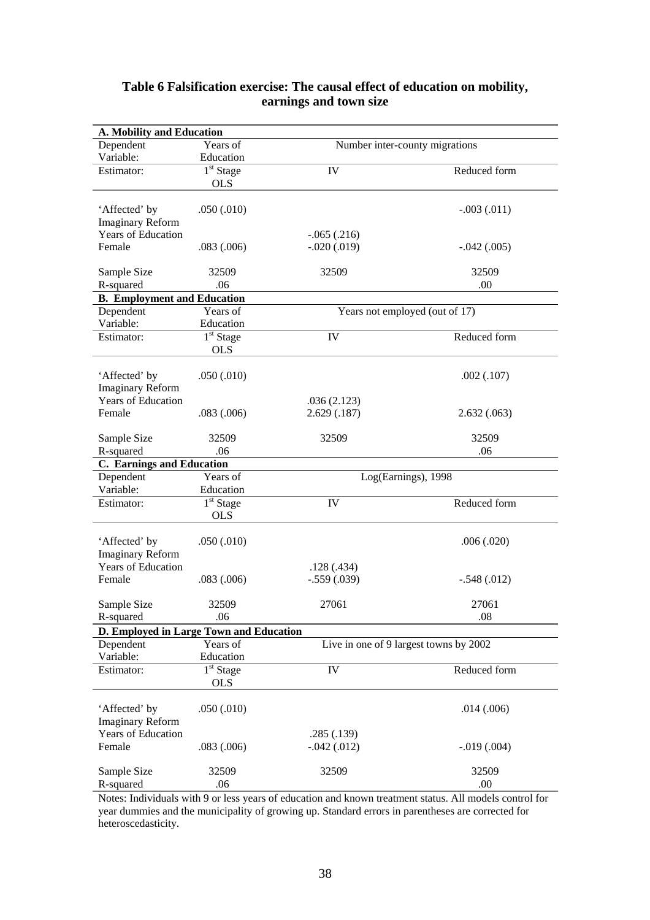| A. Mobility and Education                |                           |                                        |                 |  |
|------------------------------------------|---------------------------|----------------------------------------|-----------------|--|
| Dependent                                | Years of                  | Number inter-county migrations         |                 |  |
| Variable:                                | Education                 |                                        |                 |  |
| Estimator:                               | $1st$ Stage<br><b>OLS</b> | IV                                     | Reduced form    |  |
| 'Affected' by                            | .050(.010)                |                                        | $-.003(.011)$   |  |
| <b>Imaginary Reform</b>                  |                           |                                        |                 |  |
| <b>Years of Education</b>                |                           | $-.065(.216)$                          |                 |  |
| Female                                   | .083(.006)                | $-.020(.019)$                          | $-.042(.005)$   |  |
| Sample Size                              | 32509                     | 32509                                  | 32509           |  |
| R-squared                                | .06                       |                                        | .00             |  |
| <b>B.</b> Employment and Education       |                           |                                        |                 |  |
| Dependent                                | Years of                  | Years not employed (out of 17)         |                 |  |
| Variable:                                | Education                 |                                        |                 |  |
| Estimator:                               | $1st$ Stage<br><b>OLS</b> | IV                                     | Reduced form    |  |
| 'Affected' by<br><b>Imaginary Reform</b> | .050(.010)                |                                        | .002(.107)      |  |
| <b>Years of Education</b>                |                           | .036(2.123)                            |                 |  |
| Female                                   | .083(.006)                | 2.629(.187)                            | 2.632(.063)     |  |
| Sample Size                              | 32509                     | 32509                                  | 32509           |  |
| R-squared                                | .06                       |                                        | .06             |  |
| <b>C.</b> Earnings and Education         |                           |                                        |                 |  |
| Dependent                                | Years of                  | Log(Earnings), 1998                    |                 |  |
| Variable:                                | Education                 |                                        |                 |  |
| Estimator:                               | $1st$ Stage<br><b>OLS</b> | IV                                     | Reduced form    |  |
| 'Affected' by<br><b>Imaginary Reform</b> | .050(.010)                |                                        | .006(.020)      |  |
| <b>Years of Education</b>                |                           | .128(.434)                             |                 |  |
| Female                                   | .083(.006)                | $-.559(.039)$                          | $-.548(.012)$   |  |
| Sample Size                              | 32509                     | 27061                                  | 27061           |  |
| R-squared                                | .06                       |                                        | .08             |  |
| D. Employed in Large Town and Education  |                           |                                        |                 |  |
| Dependent<br>Variable:                   | Years of<br>Education     | Live in one of 9 largest towns by 2002 |                 |  |
| Estimator:                               | $1st$ Stage               | IV                                     | Reduced form    |  |
|                                          | <b>OLS</b>                |                                        |                 |  |
| 'Affected' by<br><b>Imaginary Reform</b> | .050(.010)                |                                        | .014(.006)      |  |
| <b>Years of Education</b>                |                           | .285(.139)                             |                 |  |
| Female                                   | .083(.006)                | $-.042(.012)$                          | $-0.019(0.004)$ |  |
| Sample Size                              | 32509                     | 32509                                  | 32509           |  |
| R-squared                                | .06                       |                                        | .00.            |  |

## **Table 6 Falsification exercise: The causal effect of education on mobility, earnings and town size**

Notes: Individuals with 9 or less years of education and known treatment status. All models control for year dummies and the municipality of growing up. Standard errors in parentheses are corrected for heteroscedasticity.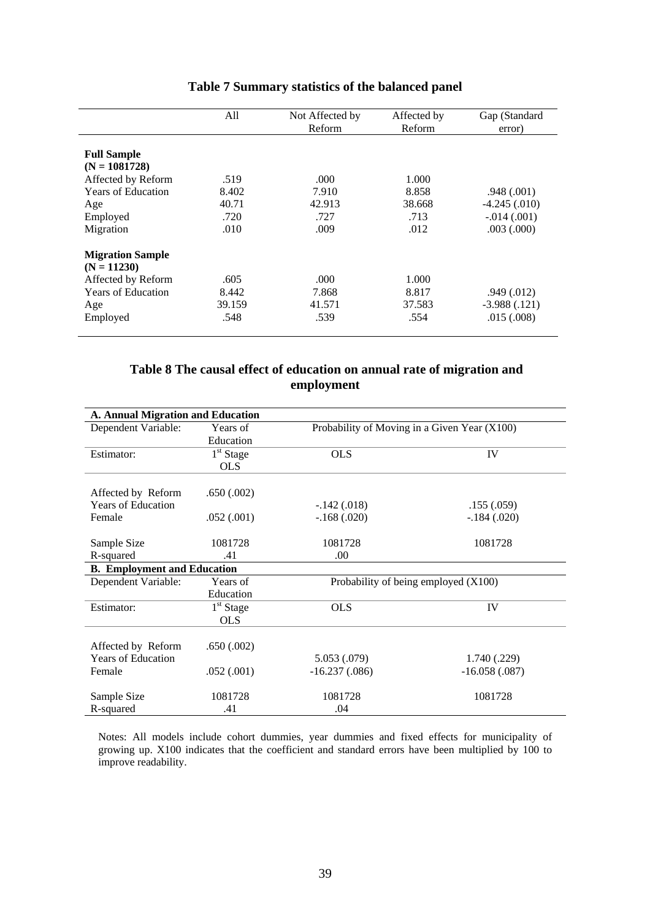|                           | All    | Not Affected by | Affected by | Gap (Standard   |
|---------------------------|--------|-----------------|-------------|-----------------|
|                           |        | <b>Reform</b>   | Reform      | error)          |
|                           |        |                 |             |                 |
| <b>Full Sample</b>        |        |                 |             |                 |
| $(N = 1081728)$           |        |                 |             |                 |
| Affected by Reform        | .519   | .000            | 1.000       |                 |
| <b>Years of Education</b> | 8.402  | 7.910           | 8.858       | .948(.001)      |
| Age                       | 40.71  | 42.913          | 38.668      | $-4.245$ (.010) |
| Employed                  | .720   | .727            | .713        | $-0.014(0.001)$ |
| Migration                 | .010   | .009            | .012        | .003(.000)      |
| <b>Migration Sample</b>   |        |                 |             |                 |
| $(N = 11230)$             |        |                 |             |                 |
| Affected by Reform        | .605   | .000            | 1.000       |                 |
| <b>Years of Education</b> | 8.442  | 7.868           | 8.817       | $.949 \,(.012)$ |
| Age                       | 39.159 | 41.571          | 37.583      | $-3.988(.121)$  |
| Employed                  | .548   | .539            | .554        | .015(.008)      |

# **Table 7 Summary statistics of the balanced panel**

# **Table 8 The causal effect of education on annual rate of migration and employment**

| A. Annual Migration and Education  |             |                                              |                 |
|------------------------------------|-------------|----------------------------------------------|-----------------|
| Dependent Variable:                | Years of    | Probability of Moving in a Given Year (X100) |                 |
|                                    | Education   |                                              |                 |
| Estimator:                         | $1st$ Stage | <b>OLS</b>                                   | IV              |
|                                    | <b>OLS</b>  |                                              |                 |
|                                    |             |                                              |                 |
| Affected by Reform                 | .650(.002)  |                                              |                 |
| <b>Years of Education</b>          |             | $-.142(.018)$                                | .155(.059)      |
| Female                             | .052(.001)  | $-.168(.020)$                                | $-.184(.020)$   |
|                                    |             |                                              |                 |
| Sample Size                        | 1081728     | 1081728                                      | 1081728         |
| R-squared                          | .41         | .00.                                         |                 |
| <b>B.</b> Employment and Education |             |                                              |                 |
| Dependent Variable:                | Years of    | Probability of being employed (X100)         |                 |
|                                    | Education   |                                              |                 |
| Estimator:                         | $1st$ Stage | <b>OLS</b>                                   | IV              |
|                                    | <b>OLS</b>  |                                              |                 |
|                                    |             |                                              |                 |
| Affected by Reform                 | .650(.002)  |                                              |                 |
| <b>Years of Education</b>          |             | 5.053 (.079)                                 | 1.740 (.229)    |
| Female                             | .052(.001)  | $-16.237(.086)$                              | $-16.058(.087)$ |
|                                    |             |                                              |                 |
| Sample Size                        | 1081728     | 1081728                                      | 1081728         |
| R-squared                          | .41         | .04                                          |                 |

Notes: All models include cohort dummies, year dummies and fixed effects for municipality of growing up. X100 indicates that the coefficient and standard errors have been multiplied by 100 to improve readability.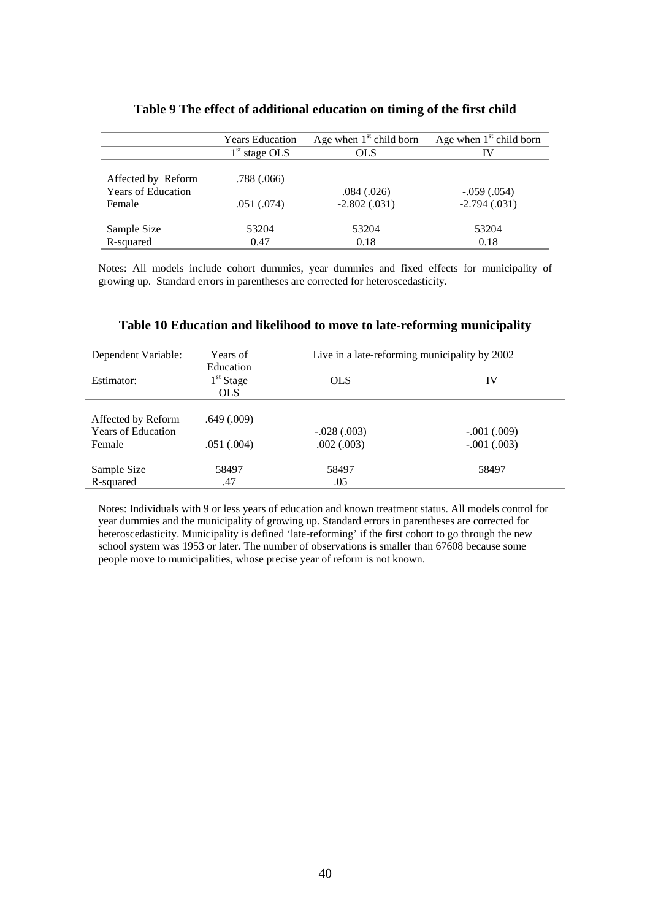|                                     | <b>Years Education</b> | Age when $1st$ child born         | Age when $1st$ child born       |
|-------------------------------------|------------------------|-----------------------------------|---------------------------------|
|                                     | $1st$ stage OLS        | <b>OLS</b>                        | IV                              |
| Affected by Reform                  | .788(.066)             |                                   |                                 |
| <b>Years of Education</b><br>Female | .051(.074)             | $.084 \,(.026)$<br>$-2.802(.031)$ | $-.059(.054)$<br>$-2.794(.031)$ |
| Sample Size                         | 53204                  | 53204                             | 53204                           |
| R-squared                           | 0.47                   | 0.18                              | 0.18                            |

#### **Table 9 The effect of additional education on timing of the first child**

Notes: All models include cohort dummies, year dummies and fixed effects for municipality of growing up. Standard errors in parentheses are corrected for heteroscedasticity.

| Dependent Variable:       | Years of        | Live in a late-reforming municipality by 2002 |               |
|---------------------------|-----------------|-----------------------------------------------|---------------|
|                           | Education       |                                               |               |
| Estimator:                | $1st$ Stage     | <b>OLS</b>                                    | IV            |
|                           | <b>OLS</b>      |                                               |               |
|                           |                 |                                               |               |
| Affected by Reform        | $.649 \,(.009)$ |                                               |               |
| <b>Years of Education</b> |                 | $-.028(.003)$                                 | $-.001(.009)$ |
| Female                    | .051(.004)      | .002(.003)                                    | $-.001(.003)$ |
|                           |                 |                                               |               |
| Sample Size               | 58497           | 58497                                         | 58497         |
| R-squared                 | .47             | .05                                           |               |

#### **Table 10 Education and likelihood to move to late-reforming municipality**

Notes: Individuals with 9 or less years of education and known treatment status. All models control for year dummies and the municipality of growing up. Standard errors in parentheses are corrected for heteroscedasticity. Municipality is defined 'late-reforming' if the first cohort to go through the new school system was 1953 or later. The number of observations is smaller than 67608 because some people move to municipalities, whose precise year of reform is not known.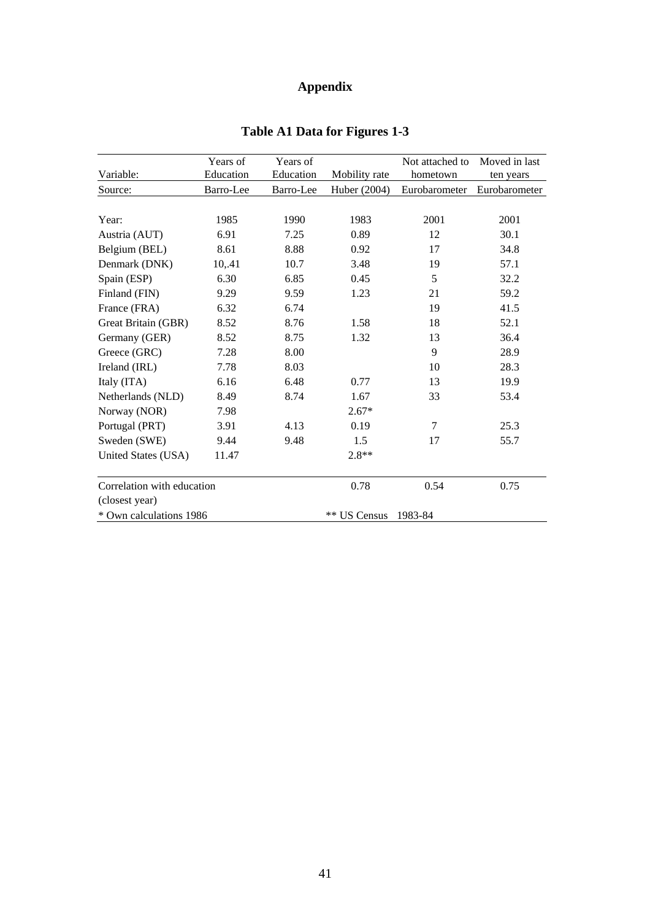# **Appendix**

|                            | Years of  | Years of  |               | Not attached to | Moved in last |
|----------------------------|-----------|-----------|---------------|-----------------|---------------|
| Variable:                  | Education | Education | Mobility rate | hometown        | ten years     |
| Source:                    | Barro-Lee | Barro-Lee | Huber (2004)  | Eurobarometer   | Eurobarometer |
|                            |           |           |               |                 |               |
| Year:                      | 1985      | 1990      | 1983          | 2001            | 2001          |
| Austria (AUT)              | 6.91      | 7.25      | 0.89          | 12              | 30.1          |
| Belgium (BEL)              | 8.61      | 8.88      | 0.92          | 17              | 34.8          |
| Denmark (DNK)              | 10,.41    | 10.7      | 3.48          | 19              | 57.1          |
| Spain (ESP)                | 6.30      | 6.85      | 0.45          | 5               | 32.2          |
| Finland (FIN)              | 9.29      | 9.59      | 1.23          | 21              | 59.2          |
| France (FRA)               | 6.32      | 6.74      |               | 19              | 41.5          |
| Great Britain (GBR)        | 8.52      | 8.76      | 1.58          | 18              | 52.1          |
| Germany (GER)              | 8.52      | 8.75      | 1.32          | 13              | 36.4          |
| Greece (GRC)               | 7.28      | 8.00      |               | 9               | 28.9          |
| Ireland (IRL)              | 7.78      | 8.03      |               | 10              | 28.3          |
| Italy (ITA)                | 6.16      | 6.48      | 0.77          | 13              | 19.9          |
| Netherlands (NLD)          | 8.49      | 8.74      | 1.67          | 33              | 53.4          |
| Norway (NOR)               | 7.98      |           | $2.67*$       |                 |               |
| Portugal (PRT)             | 3.91      | 4.13      | 0.19          | $\tau$          | 25.3          |
| Sweden (SWE)               | 9.44      | 9.48      | 1.5           | 17              | 55.7          |
| United States (USA)        | 11.47     |           | $2.8**$       |                 |               |
| Correlation with education |           |           | 0.78          | 0.54            | 0.75          |
| (closest year)             |           |           |               |                 |               |
| * Own calculations 1986    |           |           | ** US Census  | 1983-84         |               |

# **Table A1 Data for Figures 1-3**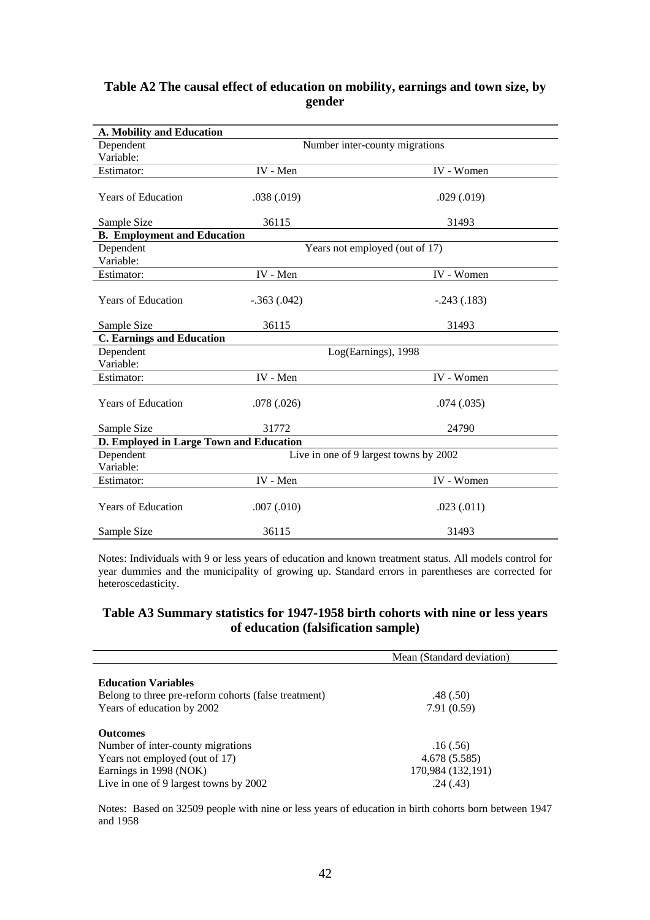#### **Table A2 The causal effect of education on mobility, earnings and town size, by gender**

| A. Mobility and Education               |                                |                                        |  |  |  |  |
|-----------------------------------------|--------------------------------|----------------------------------------|--|--|--|--|
| Dependent                               | Number inter-county migrations |                                        |  |  |  |  |
| Variable:                               |                                |                                        |  |  |  |  |
| Estimator:                              | IV - Men                       | IV - Women                             |  |  |  |  |
| <b>Years of Education</b>               | .038(.019)                     | .029(.019)                             |  |  |  |  |
| Sample Size                             | 36115                          | 31493                                  |  |  |  |  |
| <b>B.</b> Employment and Education      |                                |                                        |  |  |  |  |
| Dependent<br>Variable:                  |                                | Years not employed (out of 17)         |  |  |  |  |
| Estimator:                              | IV - Men                       | IV - Women                             |  |  |  |  |
| <b>Years of Education</b>               | $-.363(.042)$                  | $-.243(.183)$                          |  |  |  |  |
| Sample Size                             | 36115                          | 31493                                  |  |  |  |  |
| <b>C. Earnings and Education</b>        |                                |                                        |  |  |  |  |
| Dependent<br>Variable:                  |                                | Log(Earnings), 1998                    |  |  |  |  |
| Estimator:                              | IV - Men                       | IV - Women                             |  |  |  |  |
| <b>Years of Education</b>               | .078(.026)                     | .074(.035)                             |  |  |  |  |
| Sample Size                             | 31772                          | 24790                                  |  |  |  |  |
| D. Employed in Large Town and Education |                                |                                        |  |  |  |  |
| Dependent<br>Variable:                  |                                | Live in one of 9 largest towns by 2002 |  |  |  |  |
| Estimator:                              | IV - Men                       | IV - Women                             |  |  |  |  |
| <b>Years of Education</b>               | .007(.010)                     | .023(.011)                             |  |  |  |  |
| Sample Size                             | 36115                          | 31493                                  |  |  |  |  |

Notes: Individuals with 9 or less years of education and known treatment status. All models control for year dummies and the municipality of growing up. Standard errors in parentheses are corrected for heteroscedasticity.

#### **Table A3 Summary statistics for 1947-1958 birth cohorts with nine or less years of education (falsification sample)**

|                                                      | Mean (Standard deviation) |
|------------------------------------------------------|---------------------------|
| <b>Education Variables</b>                           |                           |
| Belong to three pre-reform cohorts (false treatment) | .48(.50)                  |
| Years of education by 2002                           | 7.91(0.59)                |
| <b>Outcomes</b>                                      |                           |
| Number of inter-county migrations                    | .16(.56)                  |
| Years not employed (out of 17)                       | 4.678 (5.585)             |
| Earnings in 1998 (NOK)                               | 170,984 (132,191)         |
| Live in one of 9 largest towns by 2002               | .24(.43)                  |

Notes: Based on 32509 people with nine or less years of education in birth cohorts born between 1947 and 1958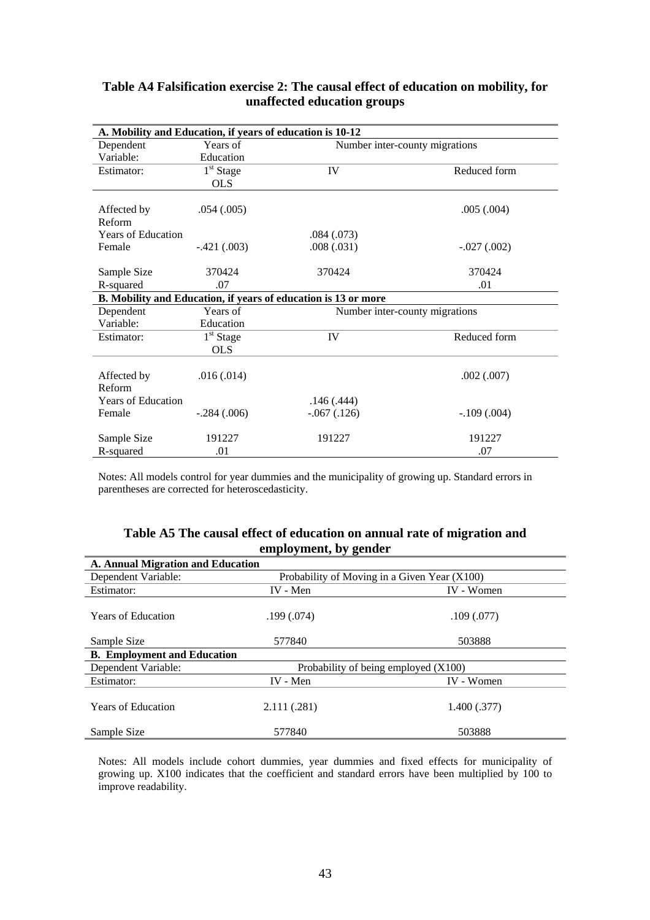| A. Mobility and Education, if years of education is 10-12 |               |                                                                |                                |  |  |
|-----------------------------------------------------------|---------------|----------------------------------------------------------------|--------------------------------|--|--|
| Dependent                                                 | Years of      | Number inter-county migrations                                 |                                |  |  |
| Variable:                                                 | Education     |                                                                |                                |  |  |
| Estimator:                                                | $1st$ Stage   | IV                                                             | Reduced form                   |  |  |
|                                                           | <b>OLS</b>    |                                                                |                                |  |  |
|                                                           |               |                                                                |                                |  |  |
| Affected by                                               | .054(.005)    |                                                                | .005(.004)                     |  |  |
| Reform                                                    |               |                                                                |                                |  |  |
| <b>Years of Education</b>                                 |               | .084 (.073)                                                    |                                |  |  |
| Female                                                    | $-.421(.003)$ | .008(.031)                                                     | $-.027(.002)$                  |  |  |
|                                                           |               |                                                                |                                |  |  |
| Sample Size                                               | 370424        | 370424                                                         | 370424                         |  |  |
| R-squared                                                 | .07           |                                                                | .01                            |  |  |
|                                                           |               | B. Mobility and Education, if years of education is 13 or more |                                |  |  |
| Dependent                                                 | Years of      |                                                                | Number inter-county migrations |  |  |
| Variable:                                                 | Education     |                                                                |                                |  |  |
| Estimator:                                                | $1st$ Stage   | IV                                                             | Reduced form                   |  |  |
|                                                           | <b>OLS</b>    |                                                                |                                |  |  |
|                                                           |               |                                                                |                                |  |  |
| Affected by                                               | .016(.014)    |                                                                | .002(.007)                     |  |  |
| Reform                                                    |               |                                                                |                                |  |  |
| <b>Years of Education</b>                                 |               | .146(.444)                                                     |                                |  |  |
| Female                                                    | $-.284(.006)$ | $-.067(.126)$                                                  | $-.109(.004)$                  |  |  |
| Sample Size                                               | 191227        | 191227                                                         | 191227                         |  |  |
| R-squared                                                 | .01           |                                                                | .07                            |  |  |

#### **Table A4 Falsification exercise 2: The causal effect of education on mobility, for unaffected education groups**

Notes: All models control for year dummies and the municipality of growing up. Standard errors in parentheses are corrected for heteroscedasticity.

# **Table A5 The causal effect of education on annual rate of migration and employment, by gender**

| A. Annual Migration and Education  |                                      |                                              |  |  |  |
|------------------------------------|--------------------------------------|----------------------------------------------|--|--|--|
| Dependent Variable:                |                                      | Probability of Moving in a Given Year (X100) |  |  |  |
| Estimator:                         | IV - Men                             | <b>IV</b> - Women                            |  |  |  |
| <b>Years of Education</b>          | .199 (.074)                          | .109(.077)                                   |  |  |  |
| Sample Size                        | 577840                               | 503888                                       |  |  |  |
| <b>B.</b> Employment and Education |                                      |                                              |  |  |  |
| Dependent Variable:                | Probability of being employed (X100) |                                              |  |  |  |
| Estimator:                         | IV - Men                             | <b>IV</b> - Women                            |  |  |  |
| <b>Years of Education</b>          | 2.111 (.281)                         | 1.400(.377)                                  |  |  |  |
| Sample Size                        | 577840                               | 503888                                       |  |  |  |

Notes: All models include cohort dummies, year dummies and fixed effects for municipality of growing up. X100 indicates that the coefficient and standard errors have been multiplied by 100 to improve readability.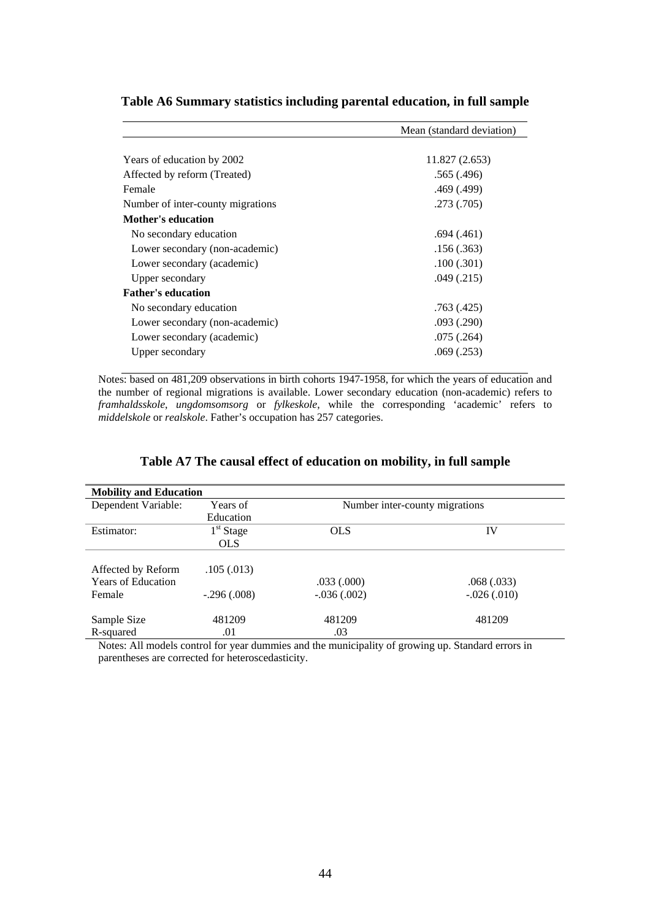|                                   | Mean (standard deviation) |
|-----------------------------------|---------------------------|
|                                   |                           |
| Years of education by 2002        | 11.827 (2.653)            |
| Affected by reform (Treated)      | .565(.496)                |
| Female                            | .469 (.499)               |
| Number of inter-county migrations | .273(.705)                |
| <b>Mother's education</b>         |                           |
| No secondary education            | .694(.461)                |
| Lower secondary (non-academic)    | .156(.363)                |
| Lower secondary (academic)        | .100(.301)                |
| Upper secondary                   | .049(.215)                |
| <b>Father's education</b>         |                           |
| No secondary education            | .763(.425)                |
| Lower secondary (non-academic)    | .093(.290)                |
| Lower secondary (academic)        | .075(.264)                |
| Upper secondary                   | .069(.253)                |
|                                   |                           |

#### **Table A6 Summary statistics including parental education, in full sample**

Notes: based on 481,209 observations in birth cohorts 1947-1958, for which the years of education and the number of regional migrations is available. Lower secondary education (non-academic) refers to *framhaldsskole*, *ungdomsomsorg* or *fylkeskole*, while the corresponding 'academic' refers to *middelskole* or *realskole*. Father's occupation has 257 categories.

| <b>Mobility and Education</b> |               |                                |                 |
|-------------------------------|---------------|--------------------------------|-----------------|
| Dependent Variable:           | Years of      | Number inter-county migrations |                 |
|                               | Education     |                                |                 |
| Estimator:                    | $1st$ Stage   | <b>OLS</b>                     | IV              |
|                               | <b>OLS</b>    |                                |                 |
|                               |               |                                |                 |
| Affected by Reform            | .105(.013)    |                                |                 |
| <b>Years of Education</b>     |               | .033(.000)                     | .068(.033)      |
| Female                        | $-.296(.008)$ | $-.036(.002)$                  | $-0.026(0.010)$ |
|                               |               |                                |                 |
| Sample Size                   | 481209        | 481209                         | 481209          |
| R-squared                     | .01           | .03                            |                 |

Notes: All models control for year dummies and the municipality of growing up. Standard errors in parentheses are corrected for heteroscedasticity.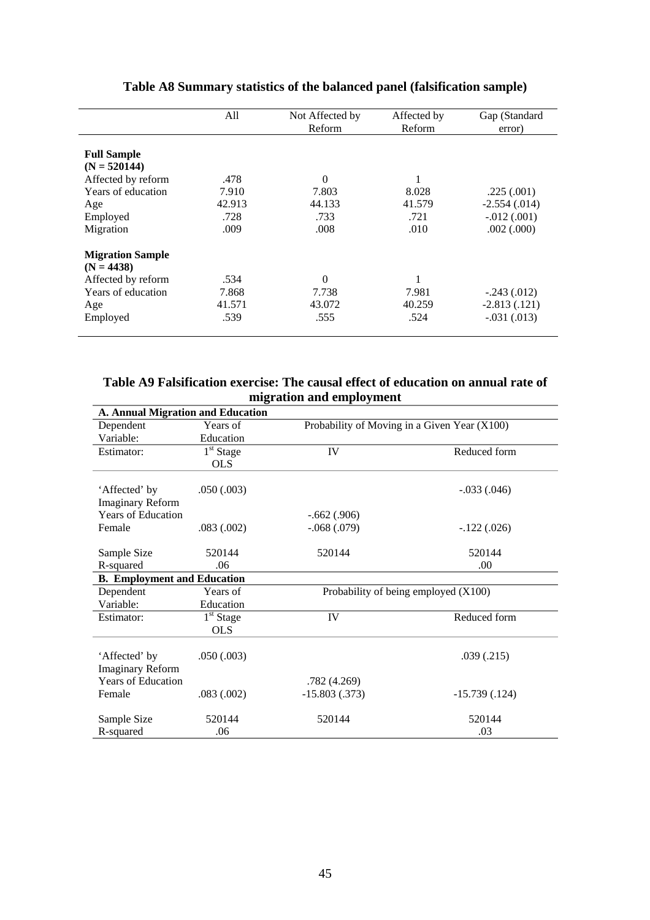|                         | All    | Not Affected by | Affected by   | Gap (Standard   |
|-------------------------|--------|-----------------|---------------|-----------------|
|                         |        | <b>Reform</b>   | <b>Reform</b> | error)          |
|                         |        |                 |               |                 |
| <b>Full Sample</b>      |        |                 |               |                 |
| $(N = 520144)$          |        |                 |               |                 |
| Affected by reform      | .478   | $\theta$        |               |                 |
| Years of education      | 7.910  | 7.803           | 8.028         | .225(.001)      |
| Age                     | 42.913 | 44.133          | 41.579        | $-2.554(.014)$  |
| Employed                | .728   | .733            | .721          | $-.012(.001)$   |
| Migration               | .009   | .008            | .010          | .002(.000)      |
| <b>Migration Sample</b> |        |                 |               |                 |
| $(N = 4438)$            |        |                 |               |                 |
| Affected by reform      | .534   | $\overline{0}$  | 1             |                 |
| Years of education      | 7.868  | 7.738           | 7.981         | $-.243(.012)$   |
| Age                     | 41.571 | 43.072          | 40.259        | $-2.813(0.121)$ |
| Employed                | .539   | .555            | .524          | $-.031(.013)$   |

# **Table A8 Summary statistics of the balanced panel (falsification sample)**

## **Table A9 Falsification exercise: The causal effect of education on annual rate of migration and employment**

| <b>A. Annual Migration and Education</b> |             |                                              |                 |
|------------------------------------------|-------------|----------------------------------------------|-----------------|
| Dependent                                | Years of    | Probability of Moving in a Given Year (X100) |                 |
| Variable:                                | Education   |                                              |                 |
| Estimator:                               | $1st$ Stage | IV                                           | Reduced form    |
|                                          | <b>OLS</b>  |                                              |                 |
|                                          |             |                                              |                 |
| 'Affected' by                            | .050(.003)  |                                              | $-.033(.046)$   |
| <b>Imaginary Reform</b>                  |             |                                              |                 |
| <b>Years of Education</b>                |             | $-.662(.906)$                                |                 |
| Female                                   | .083(.002)  | $-.068(.079)$                                | $-.122(.026)$   |
|                                          |             |                                              |                 |
| Sample Size                              | 520144      | 520144                                       | 520144          |
| R-squared                                | .06         |                                              | .00.            |
| <b>B.</b> Employment and Education       |             |                                              |                 |
| Dependent                                | Years of    | Probability of being employed (X100)         |                 |
| Variable:                                | Education   |                                              |                 |
| Estimator:                               | $1st$ Stage | IV                                           | Reduced form    |
|                                          | <b>OLS</b>  |                                              |                 |
|                                          |             |                                              |                 |
| 'Affected' by                            | .050(.003)  |                                              | .039(.215)      |
| <b>Imaginary Reform</b>                  |             |                                              |                 |
| <b>Years of Education</b>                |             | .782(4.269)                                  |                 |
| Female                                   | .083(.002)  | $-15.803(.373)$                              | $-15.739(.124)$ |
| Sample Size                              | 520144      | 520144                                       | 520144          |
| R-squared                                | .06         |                                              | .03             |